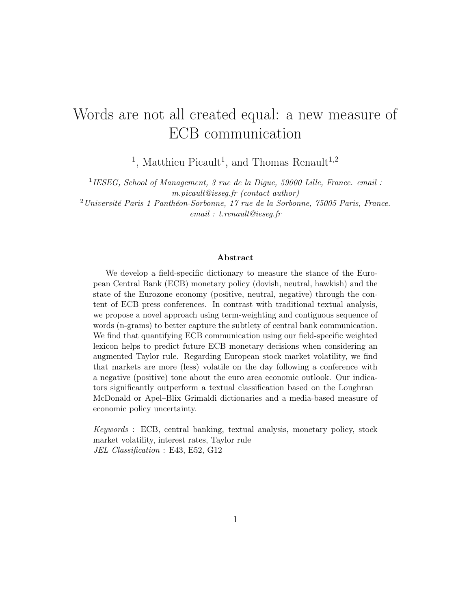# Words are not all created equal: a new measure of ECB communication

<sup>1</sup>, Matthieu Picault<sup>1</sup>, and Thomas Renault<sup>1,2</sup>

<sup>1</sup>IESEG, School of Management, 3 rue de la Digue, 59000 Lille, France. email : m.picault@ieseg.fr (contact author)

<sup>2</sup>Université Paris 1 Panthéon-Sorbonne, 17 rue de la Sorbonne, 75005 Paris, France. email : t.renault@ieseg.fr

#### Abstract

We develop a field-specific dictionary to measure the stance of the European Central Bank (ECB) monetary policy (dovish, neutral, hawkish) and the state of the Eurozone economy (positive, neutral, negative) through the content of ECB press conferences. In contrast with traditional textual analysis, we propose a novel approach using term-weighting and contiguous sequence of words (n-grams) to better capture the subtlety of central bank communication. We find that quantifying ECB communication using our field-specific weighted lexicon helps to predict future ECB monetary decisions when considering an augmented Taylor rule. Regarding European stock market volatility, we find that markets are more (less) volatile on the day following a conference with a negative (positive) tone about the euro area economic outlook. Our indicators significantly outperform a textual classification based on the Loughran– McDonald or Apel–Blix Grimaldi dictionaries and a media-based measure of economic policy uncertainty.

Keywords : ECB, central banking, textual analysis, monetary policy, stock market volatility, interest rates, Taylor rule JEL Classification : E43, E52, G12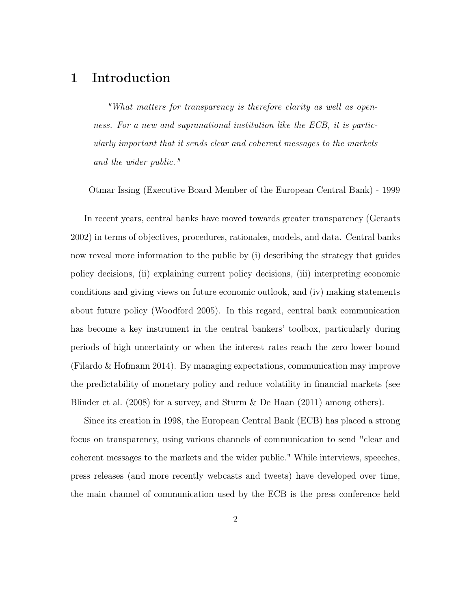### 1 Introduction

"What matters for transparency is therefore clarity as well as openness. For a new and supranational institution like the ECB, it is particularly important that it sends clear and coherent messages to the markets and the wider public."

Otmar Issing (Executive Board Member of the European Central Bank) - 1999

In recent years, central banks have moved towards greater transparency [\(Geraats](#page-30-0) [2002\)](#page-30-0) in terms of objectives, procedures, rationales, models, and data. Central banks now reveal more information to the public by (i) describing the strategy that guides policy decisions, (ii) explaining current policy decisions, (iii) interpreting economic conditions and giving views on future economic outlook, and (iv) making statements about future policy [\(Woodford](#page-32-0) [2005\)](#page-32-0). In this regard, central bank communication has become a key instrument in the central bankers' toolbox, particularly during periods of high uncertainty or when the interest rates reach the zero lower bound [\(Filardo & Hofmann](#page-30-1) [2014\)](#page-30-1). By managing expectations, communication may improve the predictability of monetary policy and reduce volatility in financial markets (see [Blinder et al.](#page-29-0) [\(2008\)](#page-29-0) for a survey, and [Sturm & De Haan](#page-32-1) [\(2011\)](#page-32-1) among others).

Since its creation in 1998, the European Central Bank (ECB) has placed a strong focus on transparency, using various channels of communication to send "clear and coherent messages to the markets and the wider public." While interviews, speeches, press releases (and more recently webcasts and tweets) have developed over time, the main channel of communication used by the ECB is the press conference held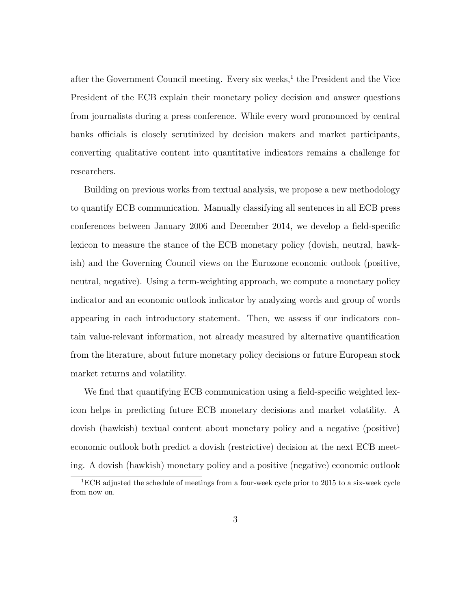after the Government Council meeting. Every six weeks,<sup>[1](#page-2-0)</sup> the President and the Vice President of the ECB explain their monetary policy decision and answer questions from journalists during a press conference. While every word pronounced by central banks officials is closely scrutinized by decision makers and market participants, converting qualitative content into quantitative indicators remains a challenge for researchers.

Building on previous works from textual analysis, we propose a new methodology to quantify ECB communication. Manually classifying all sentences in all ECB press conferences between January 2006 and December 2014, we develop a field-specific lexicon to measure the stance of the ECB monetary policy (dovish, neutral, hawkish) and the Governing Council views on the Eurozone economic outlook (positive, neutral, negative). Using a term-weighting approach, we compute a monetary policy indicator and an economic outlook indicator by analyzing words and group of words appearing in each introductory statement. Then, we assess if our indicators contain value-relevant information, not already measured by alternative quantification from the literature, about future monetary policy decisions or future European stock market returns and volatility.

We find that quantifying ECB communication using a field-specific weighted lexicon helps in predicting future ECB monetary decisions and market volatility. A dovish (hawkish) textual content about monetary policy and a negative (positive) economic outlook both predict a dovish (restrictive) decision at the next ECB meeting. A dovish (hawkish) monetary policy and a positive (negative) economic outlook

<span id="page-2-0"></span> ${}^{1}$ ECB adjusted the schedule of meetings from a four-week cycle prior to 2015 to a six-week cycle from now on.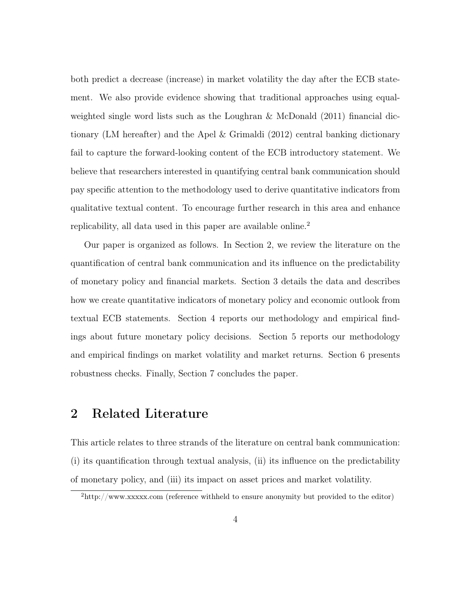both predict a decrease (increase) in market volatility the day after the ECB statement. We also provide evidence showing that traditional approaches using equal-weighted single word lists such as the [Loughran & McDonald](#page-31-0) [\(2011\)](#page-31-0) financial dictionary (LM hereafter) and the [Apel & Grimaldi](#page-29-1) [\(2012\)](#page-29-1) central banking dictionary fail to capture the forward-looking content of the ECB introductory statement. We believe that researchers interested in quantifying central bank communication should pay specific attention to the methodology used to derive quantitative indicators from qualitative textual content. To encourage further research in this area and enhance replicability, all data used in this paper are available online.<sup>[2](#page-3-0)</sup>

Our paper is organized as follows. In Section [2,](#page-3-1) we review the literature on the quantification of central bank communication and its influence on the predictability of monetary policy and financial markets. Section [3](#page-7-0) details the data and describes how we create quantitative indicators of monetary policy and economic outlook from textual ECB statements. Section [4](#page-15-0) reports our methodology and empirical findings about future monetary policy decisions. Section [5](#page-20-0) reports our methodology and empirical findings on market volatility and market returns. Section [6](#page-25-0) presents robustness checks. Finally, Section [7](#page-27-0) concludes the paper.

### <span id="page-3-1"></span>2 Related Literature

This article relates to three strands of the literature on central bank communication: (i) its quantification through textual analysis, (ii) its influence on the predictability of monetary policy, and (iii) its impact on asset prices and market volatility.

<span id="page-3-0"></span> $^{2}$ [http://www.xxxxx.com \(reference withheld to ensure anonymity but provided to the editor\)](http://www.xxxxx.com)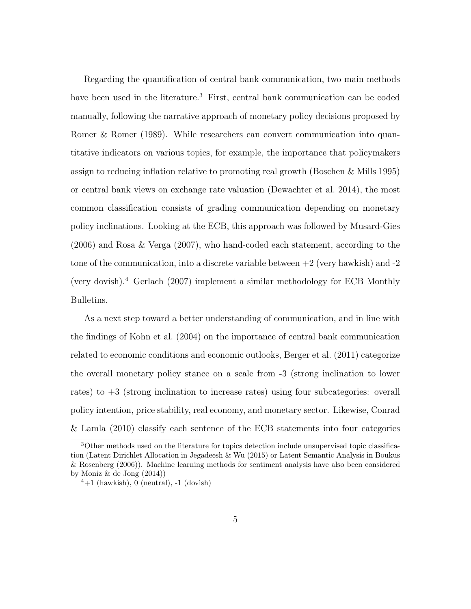Regarding the quantification of central bank communication, two main methods have been used in the literature.<sup>[3](#page-4-0)</sup> First, central bank communication can be coded manually, following the narrative approach of monetary policy decisions proposed by [Romer & Romer](#page-32-2) [\(1989\)](#page-32-2). While researchers can convert communication into quantitative indicators on various topics, for example, the importance that policymakers assign to reducing inflation relative to promoting real growth [\(Boschen & Mills](#page-29-2) [1995\)](#page-29-2) or central bank views on exchange rate valuation [\(Dewachter et al.](#page-30-2) [2014\)](#page-30-2), the most common classification consists of grading communication depending on monetary policy inclinations. Looking at the ECB, this approach was followed by [Musard-Gies](#page-31-1) [\(2006\)](#page-31-1) and [Rosa & Verga](#page-32-3) [\(2007\)](#page-32-3), who hand-coded each statement, according to the tone of the communication, into a discrete variable between  $+2$  (very hawkish) and  $-2$ (very dovish).[4](#page-4-1) [Gerlach](#page-30-3) [\(2007\)](#page-30-3) implement a similar methodology for ECB Monthly Bulletins.

As a next step toward a better understanding of communication, and in line with the findings of [Kohn et al.](#page-31-2) [\(2004\)](#page-31-2) on the importance of central bank communication related to economic conditions and economic outlooks, [Berger et al.](#page-29-3) [\(2011\)](#page-29-3) categorize the overall monetary policy stance on a scale from -3 (strong inclination to lower rates) to  $+3$  (strong inclination to increase rates) using four subcategories: overall policy intention, price stability, real economy, and monetary sector. Likewise, [Conrad](#page-30-4) [& Lamla](#page-30-4) [\(2010\)](#page-30-4) classify each sentence of the ECB statements into four categories

<span id="page-4-0"></span><sup>&</sup>lt;sup>3</sup>Other methods used on the literature for topics detection include unsupervised topic classification (Latent Dirichlet Allocation in [Jegadeesh & Wu](#page-31-3) [\(2015\)](#page-31-3) or Latent Semantic Analysis in [Boukus](#page-29-4) [& Rosenberg](#page-29-4) [\(2006\)](#page-29-4)). Machine learning methods for sentiment analysis have also been considered by [Moniz & de Jong](#page-31-4) [\(2014\)](#page-31-4))

<span id="page-4-1"></span> $4+1$  (hawkish), 0 (neutral),  $-1$  (dovish)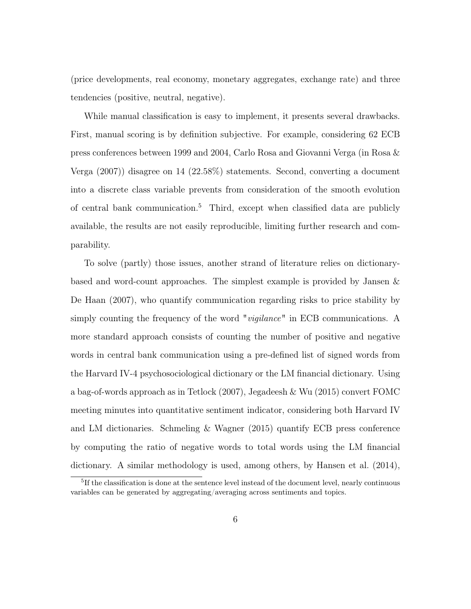(price developments, real economy, monetary aggregates, exchange rate) and three tendencies (positive, neutral, negative).

While manual classification is easy to implement, it presents several drawbacks. First, manual scoring is by definition subjective. For example, considering 62 ECB press conferences between 1999 and 2004, Carlo Rosa and Giovanni Verga (in [Rosa &](#page-32-3) [Verga](#page-32-3) [\(2007\)](#page-32-3)) disagree on 14 (22.58%) statements. Second, converting a document into a discrete class variable prevents from consideration of the smooth evolution of central bank communication.[5](#page-5-0) Third, except when classified data are publicly available, the results are not easily reproducible, limiting further research and comparability.

To solve (partly) those issues, another strand of literature relies on dictionarybased and word-count approaches. The simplest example is provided by [Jansen &](#page-30-5) [De Haan](#page-30-5) [\(2007\)](#page-30-5), who quantify communication regarding risks to price stability by simply counting the frequency of the word "*vigilance*" in ECB communications. A more standard approach consists of counting the number of positive and negative words in central bank communication using a pre-defined list of signed words from the Harvard IV-4 psychosociological dictionary or the LM financial dictionary. Using a bag-of-words approach as in [Tetlock](#page-32-4) [\(2007\)](#page-32-4), [Jegadeesh & Wu](#page-31-3) [\(2015\)](#page-31-3) convert FOMC meeting minutes into quantitative sentiment indicator, considering both Harvard IV and LM dictionaries. [Schmeling & Wagner](#page-32-5) [\(2015\)](#page-32-5) quantify ECB press conference by computing the ratio of negative words to total words using the LM financial dictionary. A similar methodology is used, among others, by [Hansen et al.](#page-30-6) [\(2014\)](#page-30-6),

<span id="page-5-0"></span><sup>&</sup>lt;sup>5</sup>If the classification is done at the sentence level instead of the document level, nearly continuous variables can be generated by aggregating/averaging across sentiments and topics.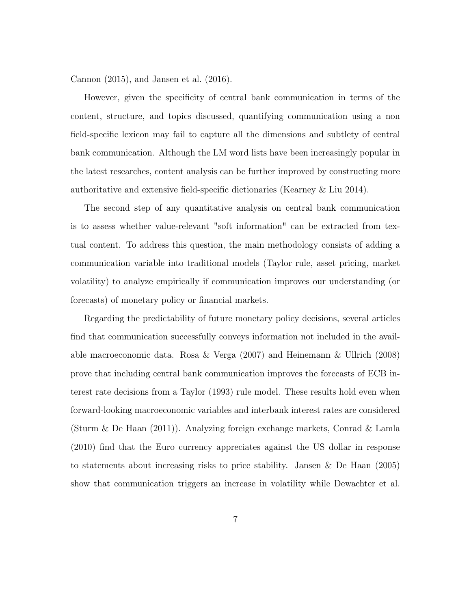[Cannon](#page-29-5) [\(2015\)](#page-29-5), and [Jansen et al.](#page-31-5) [\(2016\)](#page-31-5).

However, given the specificity of central bank communication in terms of the content, structure, and topics discussed, quantifying communication using a non field-specific lexicon may fail to capture all the dimensions and subtlety of central bank communication. Although the LM word lists have been increasingly popular in the latest researches, content analysis can be further improved by constructing more authoritative and extensive field-specific dictionaries [\(Kearney & Liu](#page-31-6) [2014\)](#page-31-6).

The second step of any quantitative analysis on central bank communication is to assess whether value-relevant "soft information" can be extracted from textual content. To address this question, the main methodology consists of adding a communication variable into traditional models (Taylor rule, asset pricing, market volatility) to analyze empirically if communication improves our understanding (or forecasts) of monetary policy or financial markets.

Regarding the predictability of future monetary policy decisions, several articles find that communication successfully conveys information not included in the available macroeconomic data. [Rosa & Verga](#page-32-3) [\(2007\)](#page-32-3) and [Heinemann & Ullrich](#page-30-7) [\(2008\)](#page-30-7) prove that including central bank communication improves the forecasts of ECB interest rate decisions from a [Taylor](#page-32-6) [\(1993\)](#page-32-6) rule model. These results hold even when forward-looking macroeconomic variables and interbank interest rates are considered [\(Sturm & De Haan](#page-32-1) [\(2011\)](#page-32-1)). Analyzing foreign exchange markets, [Conrad & Lamla](#page-30-4) [\(2010\)](#page-30-4) find that the Euro currency appreciates against the US dollar in response to statements about increasing risks to price stability. [Jansen & De Haan](#page-30-8) [\(2005\)](#page-30-8) show that communication triggers an increase in volatility while [Dewachter et al.](#page-30-2)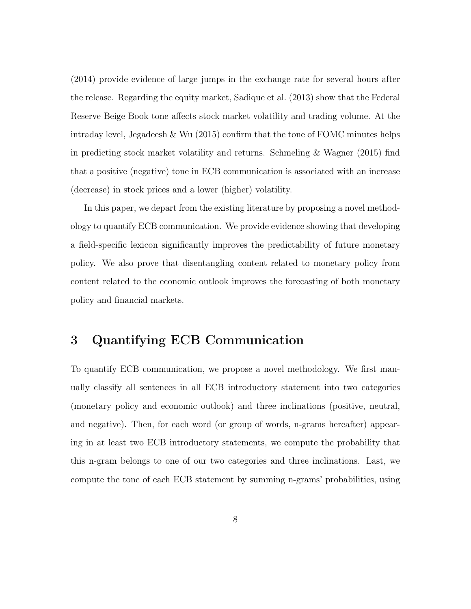[\(2014\)](#page-30-2) provide evidence of large jumps in the exchange rate for several hours after the release. Regarding the equity market, [Sadique et al.](#page-32-7) [\(2013\)](#page-32-7) show that the Federal Reserve Beige Book tone affects stock market volatility and trading volume. At the intraday level, Jegadeesh  $\&$  Wu [\(2015\)](#page-31-3) confirm that the tone of FOMC minutes helps in predicting stock market volatility and returns. [Schmeling & Wagner](#page-32-5) [\(2015\)](#page-32-5) find that a positive (negative) tone in ECB communication is associated with an increase (decrease) in stock prices and a lower (higher) volatility.

In this paper, we depart from the existing literature by proposing a novel methodology to quantify ECB communication. We provide evidence showing that developing a field-specific lexicon significantly improves the predictability of future monetary policy. We also prove that disentangling content related to monetary policy from content related to the economic outlook improves the forecasting of both monetary policy and financial markets.

# <span id="page-7-0"></span>3 Quantifying ECB Communication

To quantify ECB communication, we propose a novel methodology. We first manually classify all sentences in all ECB introductory statement into two categories (monetary policy and economic outlook) and three inclinations (positive, neutral, and negative). Then, for each word (or group of words, n-grams hereafter) appearing in at least two ECB introductory statements, we compute the probability that this n-gram belongs to one of our two categories and three inclinations. Last, we compute the tone of each ECB statement by summing n-grams' probabilities, using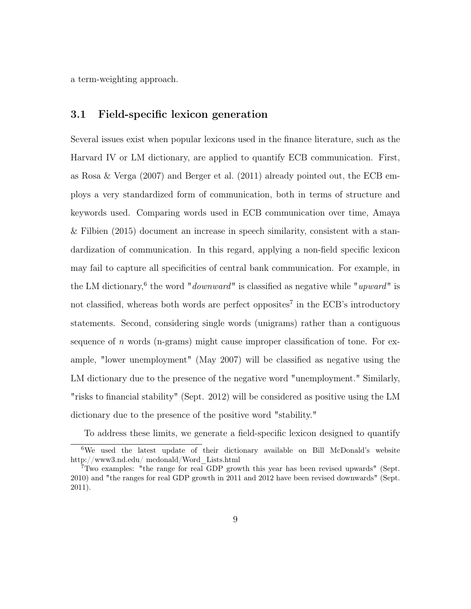a term-weighting approach.

#### 3.1 Field-specific lexicon generation

Several issues exist when popular lexicons used in the finance literature, such as the Harvard IV or LM dictionary, are applied to quantify ECB communication. First, as [Rosa & Verga](#page-32-3) [\(2007\)](#page-32-3) and [Berger et al.](#page-29-3) [\(2011\)](#page-29-3) already pointed out, the ECB employs a very standardized form of communication, both in terms of structure and keywords used. Comparing words used in ECB communication over time, [Amaya](#page-29-6) [& Filbien](#page-29-6) [\(2015\)](#page-29-6) document an increase in speech similarity, consistent with a standardization of communication. In this regard, applying a non-field specific lexicon may fail to capture all specificities of central bank communication. For example, in the LM dictionary,<sup>[6](#page-8-0)</sup> the word "*downward*" is classified as negative while "*upward*" is not classified, whereas both words are perfect opposites<sup>[7](#page-8-1)</sup> in the ECB's introductory statements. Second, considering single words (unigrams) rather than a contiguous sequence of n words (n-grams) might cause improper classification of tone. For example, "lower unemployment" (May 2007) will be classified as negative using the LM dictionary due to the presence of the negative word "unemployment." Similarly, "risks to financial stability" (Sept. 2012) will be considered as positive using the LM dictionary due to the presence of the positive word "stability."

<span id="page-8-0"></span>To address these limits, we generate a field-specific lexicon designed to quantify

<sup>&</sup>lt;sup>6</sup>We used the latest update of their dictionary available on Bill McDonald's website [http://www3.nd.edu/ mcdonald/Word\\_Lists.html](h http://www3.nd.edu/~mcdonald/Word_Lists.html )

<span id="page-8-1"></span><sup>7</sup>Two examples: "the range for real GDP growth this year has been revised upwards" (Sept. 2010) and "the ranges for real GDP growth in 2011 and 2012 have been revised downwards" (Sept. 2011).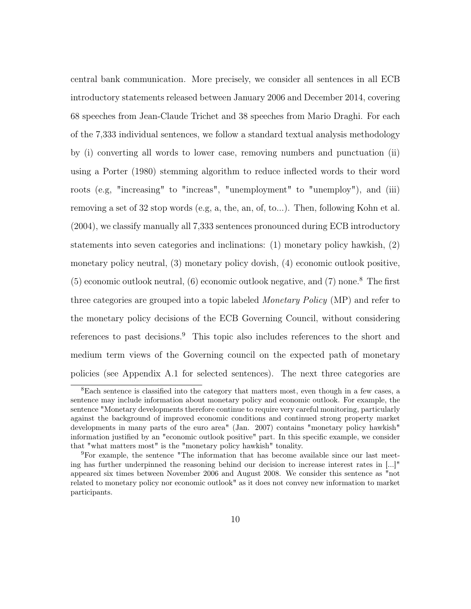central bank communication. More precisely, we consider all sentences in all ECB introductory statements released between January 2006 and December 2014, covering 68 speeches from Jean-Claude Trichet and 38 speeches from Mario Draghi. For each of the 7,333 individual sentences, we follow a standard textual analysis methodology by (i) converting all words to lower case, removing numbers and punctuation (ii) using a [Porter](#page-31-7) [\(1980\)](#page-31-7) stemming algorithm to reduce inflected words to their word roots (e.g, "increasing" to "increas", "unemployment" to "unemploy"), and (iii) removing a set of 32 stop words (e.g, a, the, an, of, to...). Then, following [Kohn et al.](#page-31-2) [\(2004\)](#page-31-2), we classify manually all 7,333 sentences pronounced during ECB introductory statements into seven categories and inclinations: (1) monetary policy hawkish, (2) monetary policy neutral, (3) monetary policy dovish, (4) economic outlook positive,  $(5)$  economic outlook neutral,  $(6)$  economic outlook negative, and  $(7)$  none.<sup>[8](#page-9-0)</sup> The first three categories are grouped into a topic labeled *Monetary Policy* (MP) and refer to the monetary policy decisions of the ECB Governing Council, without considering references to past decisions.<sup>[9](#page-9-1)</sup> This topic also includes references to the short and medium term views of the Governing council on the expected path of monetary policies (see Appendix [A.1](#page-45-0) for selected sentences). The next three categories are

<span id="page-9-0"></span><sup>8</sup>Each sentence is classified into the category that matters most, even though in a few cases, a sentence may include information about monetary policy and economic outlook. For example, the sentence "Monetary developments therefore continue to require very careful monitoring, particularly against the background of improved economic conditions and continued strong property market developments in many parts of the euro area" (Jan. 2007) contains "monetary policy hawkish" information justified by an "economic outlook positive" part. In this specific example, we consider that "what matters most" is the "monetary policy hawkish" tonality.

<span id="page-9-1"></span><sup>9</sup>For example, the sentence "The information that has become available since our last meeting has further underpinned the reasoning behind our decision to increase interest rates in [...]" appeared six times between November 2006 and August 2008. We consider this sentence as "not related to monetary policy nor economic outlook" as it does not convey new information to market participants.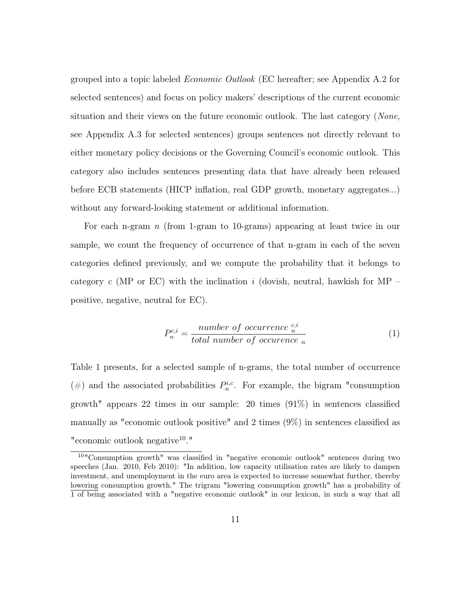grouped into a topic labeled Economic Outlook (EC hereafter; see Appendix [A.2](#page-46-0) for selected sentences) and focus on policy makers' descriptions of the current economic situation and their views on the future economic outlook. The last category (None, see Appendix [A.3](#page-47-0) for selected sentences) groups sentences not directly relevant to either monetary policy decisions or the Governing Council's economic outlook. This category also includes sentences presenting data that have already been released before ECB statements (HICP inflation, real GDP growth, monetary aggregates...) without any forward-looking statement or additional information.

For each n-gram  $n$  (from 1-gram to 10-grams) appearing at least twice in our sample, we count the frequency of occurrence of that n-gram in each of the seven categories defined previously, and we compute the probability that it belongs to category c (MP or EC) with the inclination i (dovish, neutral, hawkish for MP – positive, negative, neutral for EC).

<span id="page-10-1"></span>
$$
P_n^{c,i} = \frac{number\ of\ occurrence\ ^{c,i}}{total\ number\ of\ occurrence\ n} \tag{1}
$$

Table [1](#page-37-0) presents, for a selected sample of n-grams, the total number of occurrence (#) and the associated probabilities  $P_n^{i,c}$ . For example, the bigram "consumption" growth" appears 22 times in our sample: 20 times (91%) in sentences classified manually as "economic outlook positive" and 2 times (9%) in sentences classified as "economic outlook negative<sup>[10](#page-10-0)</sup>."

<span id="page-10-0"></span><sup>10</sup>"Consumption growth" was classified in "negative economic outlook" sentences during two speeches (Jan. 2010, Feb 2010): "In addition, low capacity utilisation rates are likely to dampen investment, and unemployment in the euro area is expected to increase somewhat further, thereby lowering consumption growth." The trigram "lowering consumption growth" has a probability of 1 of being associated with a "negative economic outlook" in our lexicon, in such a way that all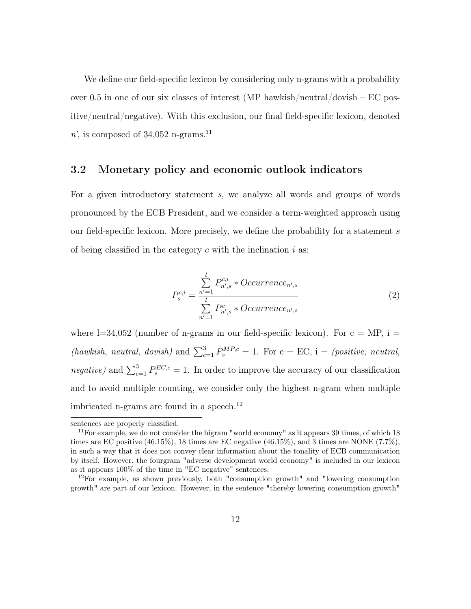We define our field-specific lexicon by considering only n-grams with a probability over 0.5 in one of our six classes of interest (MP hawkish/neutral/dovish  $-EC$  positive/neutral/negative). With this exclusion, our final field-specific lexicon, denoted n', is composed of 34,052 n-grams.<sup>[11](#page-11-0)</sup>

#### 3.2 Monetary policy and economic outlook indicators

<span id="page-11-2"></span>For a given introductory statement s, we analyze all words and groups of words pronounced by the ECB President, and we consider a term-weighted approach using our field-specific lexicon. More precisely, we define the probability for a statement s of being classified in the category  $c$  with the inclination  $i$  as:

$$
P_{s}^{c,i} = \frac{\sum_{n'=1}^{l} P_{n',s}^{c,i} * Occurrence_{n',s}}{\sum_{n'=1}^{l} P_{n',s}^{c} * Occurrence_{n',s}}
$$
(2)

where  $l=34,052$  (number of n-grams in our field-specific lexicon). For  $c = MP$ , i = (hawkish, neutral, dovish) and  $\sum_{c=1}^{3} P_{s}^{MP,c} = 1$ . For  $c = EC$ , i = (positive, neutral, *negative*) and  $\sum_{c=1}^{3} P_{s}^{EC,c} = 1$ . In order to improve the accuracy of our classification and to avoid multiple counting, we consider only the highest n-gram when multiple imbricated n-grams are found in a speech.<sup>[12](#page-11-1)</sup>

sentences are properly classified.

<span id="page-11-0"></span> $11$  For example, we do not consider the bigram "world economy" as it appears 39 times, of which 18 times are EC positive  $(46.15\%)$ , 18 times are EC negative  $(46.15\%)$ , and 3 times are NONE  $(7.7\%)$ , in such a way that it does not convey clear information about the tonality of ECB communication by itself. However, the fourgram "adverse development world economy" is included in our lexicon as it appears 100% of the time in "EC negative" sentences.

<span id="page-11-1"></span> $12$ For example, as shown previously, both "consumption growth" and "lowering consumption growth" are part of our lexicon. However, in the sentence "thereby lowering consumption growth"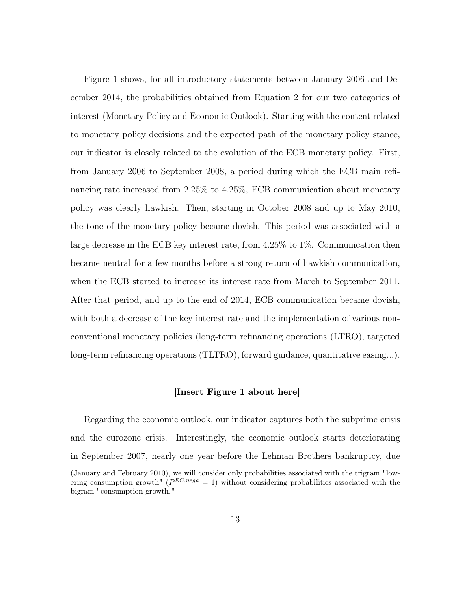Figure [1](#page-33-0) shows, for all introductory statements between January 2006 and December 2014, the probabilities obtained from Equation [2](#page-11-2) for our two categories of interest (Monetary Policy and Economic Outlook). Starting with the content related to monetary policy decisions and the expected path of the monetary policy stance, our indicator is closely related to the evolution of the ECB monetary policy. First, from January 2006 to September 2008, a period during which the ECB main refinancing rate increased from 2.25% to 4.25%, ECB communication about monetary policy was clearly hawkish. Then, starting in October 2008 and up to May 2010, the tone of the monetary policy became dovish. This period was associated with a large decrease in the ECB key interest rate, from 4.25% to 1%. Communication then became neutral for a few months before a strong return of hawkish communication, when the ECB started to increase its interest rate from March to September 2011. After that period, and up to the end of 2014, ECB communication became dovish, with both a decrease of the key interest rate and the implementation of various nonconventional monetary policies (long-term refinancing operations (LTRO), targeted long-term refinancing operations (TLTRO), forward guidance, quantitative easing...).

#### [Insert Figure [1](#page-33-0) about here]

Regarding the economic outlook, our indicator captures both the subprime crisis and the eurozone crisis. Interestingly, the economic outlook starts deteriorating in September 2007, nearly one year before the Lehman Brothers bankruptcy, due

<sup>(</sup>January and February 2010), we will consider only probabilities associated with the trigram "lowering consumption growth" ( $P^{EC,nega} = 1$ ) without considering probabilities associated with the bigram "consumption growth."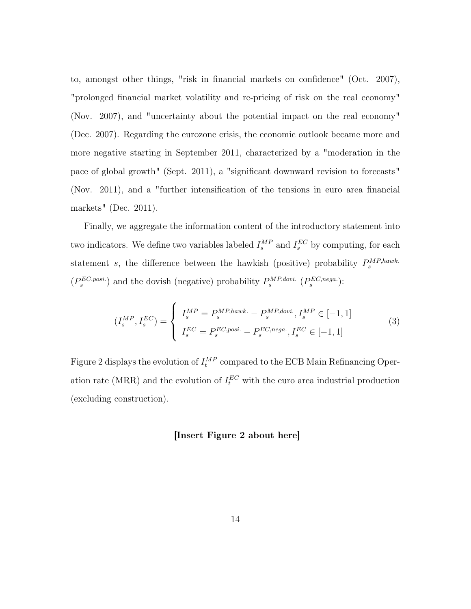to, amongst other things, "risk in financial markets on confidence" (Oct. 2007), "prolonged financial market volatility and re-pricing of risk on the real economy" (Nov. 2007), and "uncertainty about the potential impact on the real economy" (Dec. 2007). Regarding the eurozone crisis, the economic outlook became more and more negative starting in September 2011, characterized by a "moderation in the pace of global growth" (Sept. 2011), a "significant downward revision to forecasts" (Nov. 2011), and a "further intensification of the tensions in euro area financial markets" (Dec. 2011).

Finally, we aggregate the information content of the introductory statement into two indicators. We define two variables labeled  $I_s^{MP}$  and  $I_s^{EC}$  by computing, for each statement s, the difference between the hawkish (positive) probability  $P_s^{MP,hawk}$ .  $(P_s^{EC,posi.})$  and the dovish (negative) probability  $P_s^{MP, dovi.}$   $(P_s^{EC, nega.})$ :

$$
(I_s^{MP}, I_s^{EC}) = \begin{cases} I_s^{MP} = P_s^{MP, hawk.} - P_s^{MP, dovi.}, I_s^{MP} \in [-1, 1] \\ I_s^{EC} = P_s^{EC, posi.} - P_s^{EC, nega.}, I_s^{EC} \in [-1, 1] \end{cases}
$$
(3)

Figure [2](#page-34-0) displays the evolution of  $I_t^{MP}$  compared to the ECB Main Refinancing Operation rate (MRR) and the evolution of  $I_t^{EC}$  with the euro area industrial production (excluding construction).

#### [Insert Figure [2](#page-34-0) about here]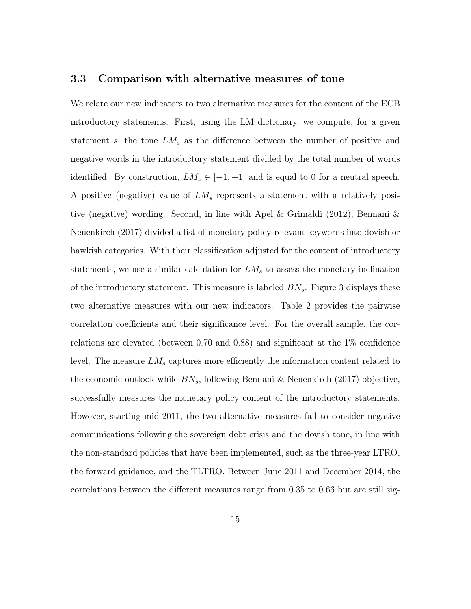#### 3.3 Comparison with alternative measures of tone

We relate our new indicators to two alternative measures for the content of the ECB introductory statements. First, using the LM dictionary, we compute, for a given statement s, the tone  $LM<sub>s</sub>$  as the difference between the number of positive and negative words in the introductory statement divided by the total number of words identified. By construction,  $LM_s \in [-1, +1]$  and is equal to 0 for a neutral speech. A positive (negative) value of  $LM_s$  represents a statement with a relatively positive (negative) wording. Second, in line with [Apel & Grimaldi](#page-29-1) [\(2012\)](#page-29-1), [Bennani &](#page-29-7) [Neuenkirch](#page-29-7) [\(2017\)](#page-29-7) divided a list of monetary policy-relevant keywords into dovish or hawkish categories. With their classification adjusted for the content of introductory statements, we use a similar calculation for  $LM<sub>s</sub>$  to assess the monetary inclination of the introductory statement. This measure is labeled  $BN<sub>s</sub>$ . Figure [3](#page-34-1) displays these two alternative measures with our new indicators. Table [2](#page-38-0) provides the pairwise correlation coefficients and their significance level. For the overall sample, the correlations are elevated (between 0.70 and 0.88) and significant at the 1% confidence level. The measure  $LM<sub>s</sub>$  captures more efficiently the information content related to the economic outlook while  $BN_s$ , following [Bennani & Neuenkirch](#page-29-7) [\(2017\)](#page-29-7) objective, successfully measures the monetary policy content of the introductory statements. However, starting mid-2011, the two alternative measures fail to consider negative communications following the sovereign debt crisis and the dovish tone, in line with the non-standard policies that have been implemented, such as the three-year LTRO, the forward guidance, and the TLTRO. Between June 2011 and December 2014, the correlations between the different measures range from 0.35 to 0.66 but are still sig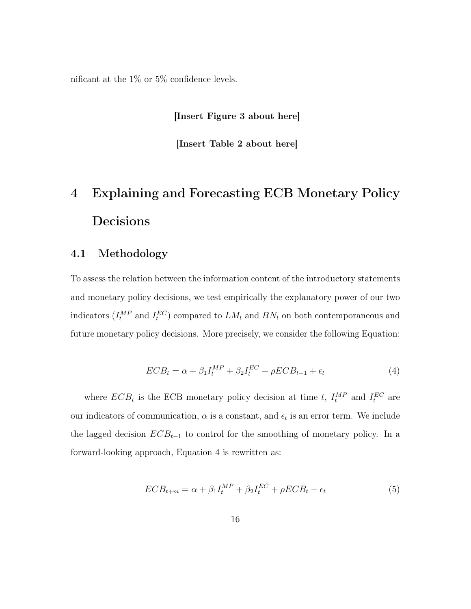nificant at the  $1\%$  or 5% confidence levels.

[Insert Figure [3](#page-34-1) about here]

[Insert Table [2](#page-38-0) about here]

# <span id="page-15-0"></span>4 Explaining and Forecasting ECB Monetary Policy Decisions

#### 4.1 Methodology

To assess the relation between the information content of the introductory statements and monetary policy decisions, we test empirically the explanatory power of our two indicators  $(I_t^{MP}$  and  $I_t^{EC}$ ) compared to  $LM_t$  and  $BN_t$  on both contemporaneous and future monetary policy decisions. More precisely, we consider the following Equation:

$$
ECB_t = \alpha + \beta_1 I_t^{MP} + \beta_2 I_t^{EC} + \rho ECB_{t-1} + \epsilon_t
$$
\n
$$
\tag{4}
$$

<span id="page-15-2"></span><span id="page-15-1"></span>where  $ECB_t$  is the ECB monetary policy decision at time t,  $I_t^{MP}$  and  $I_t^{EC}$  are our indicators of communication,  $\alpha$  is a constant, and  $\epsilon_t$  is an error term. We include the lagged decision  $ECB_{t-1}$  to control for the smoothing of monetary policy. In a forward-looking approach, Equation [4](#page-15-1) is rewritten as:

$$
ECB_{t+m} = \alpha + \beta_1 I_t^{MP} + \beta_2 I_t^{EC} + \rho ECB_t + \epsilon_t
$$
\n
$$
\tag{5}
$$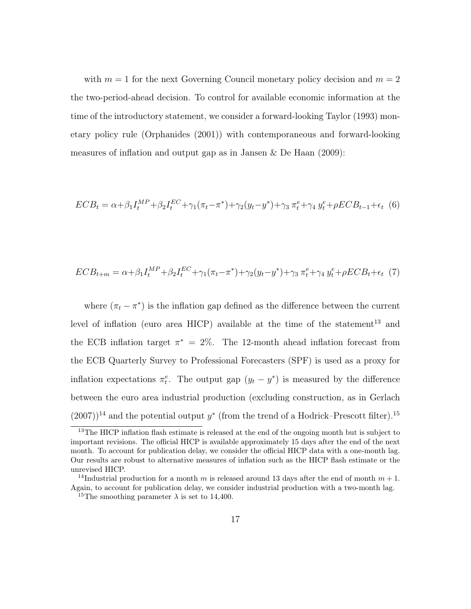with  $m = 1$  for the next Governing Council monetary policy decision and  $m = 2$ the two-period-ahead decision. To control for available economic information at the time of the introductory statement, we consider a forward-looking [Taylor](#page-32-6) [\(1993\)](#page-32-6) monetary policy rule [\(Orphanides](#page-31-8) [\(2001\)](#page-31-8)) with contemporaneous and forward-looking measures of inflation and output gap as in [Jansen & De Haan](#page-31-9) [\(2009\)](#page-31-9):

<span id="page-16-4"></span><span id="page-16-3"></span>
$$
ECB_t = \alpha + \beta_1 I_t^{MP} + \beta_2 I_t^{EC} + \gamma_1 (\pi_t - \pi^*) + \gamma_2 (y_t - y^*) + \gamma_3 \pi_t^e + \gamma_4 y_t^e + \rho ECB_{t-1} + \epsilon_t
$$
 (6)

$$
ECB_{t+m} = \alpha + \beta_1 I_t^{MP} + \beta_2 I_t^{EC} + \gamma_1 (\pi_t - \pi^*) + \gamma_2 (y_t - y^*) + \gamma_3 \pi_t^e + \gamma_4 y_t^e + \rho ECB_t + \epsilon_t
$$
 (7)

where  $(\pi_t - \pi^*)$  is the inflation gap defined as the difference between the current level of inflation (euro area HICP) available at the time of the statement<sup>[13](#page-16-0)</sup> and the ECB inflation target  $\pi^* = 2\%$ . The 12-month ahead inflation forecast from the ECB Quarterly Survey to Professional Forecasters (SPF) is used as a proxy for inflation expectations  $\pi_t^e$ . The output gap  $(y_t - y^*)$  is measured by the difference between the euro area industrial production (excluding construction, as in [Gerlach](#page-30-3)  $(2007)$ <sup>[14](#page-16-1)</sup> and the potential output y<sup>\*</sup> (from the trend of a Hodrick–Prescott filter).<sup>[15](#page-16-2)</sup>

<span id="page-16-0"></span><sup>&</sup>lt;sup>13</sup>The HICP inflation flash estimate is released at the end of the ongoing month but is subject to important revisions. The official HICP is available approximately 15 days after the end of the next month. To account for publication delay, we consider the official HICP data with a one-month lag. Our results are robust to alternative measures of inflation such as the HICP flash estimate or the unrevised HICP.

<span id="page-16-1"></span><sup>&</sup>lt;sup>14</sup>Industrial production for a month m is released around 13 days after the end of month  $m + 1$ . Again, to account for publication delay, we consider industrial production with a two-month lag.

<span id="page-16-2"></span><sup>&</sup>lt;sup>15</sup>The smoothing parameter  $\lambda$  is set to 14,400.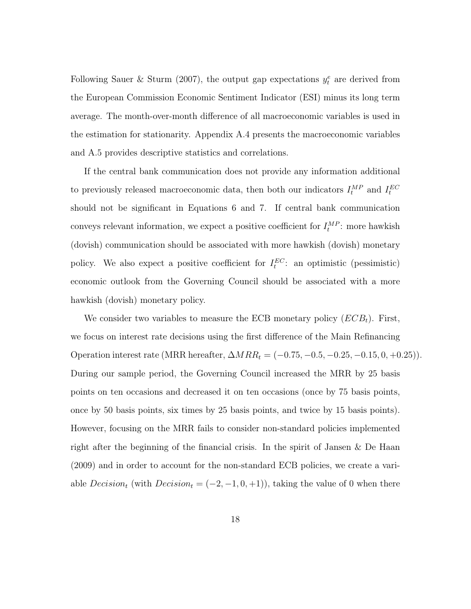Following [Sauer & Sturm](#page-32-8) [\(2007\)](#page-32-8), the output gap expectations  $y_t^e$  are derived from the European Commission Economic Sentiment Indicator (ESI) minus its long term average. The month-over-month difference of all macroeconomic variables is used in the estimation for stationarity. Appendix [A.4](#page-48-0) presents the macroeconomic variables and [A.5](#page-49-0) provides descriptive statistics and correlations.

If the central bank communication does not provide any information additional to previously released macroeconomic data, then both our indicators  $I_t^{MP}$  and  $I_t^{EC}$ should not be significant in Equations [6](#page-16-3) and [7.](#page-16-4) If central bank communication conveys relevant information, we expect a positive coefficient for  $I_t^{MP}$ : more hawkish (dovish) communication should be associated with more hawkish (dovish) monetary policy. We also expect a positive coefficient for  $I_t^{EC}$ : an optimistic (pessimistic) economic outlook from the Governing Council should be associated with a more hawkish (dovish) monetary policy.

We consider two variables to measure the ECB monetary policy  $(ECB_t)$ . First, we focus on interest rate decisions using the first difference of the Main Refinancing Operation interest rate (MRR hereafter,  $\Delta MRR_t = (-0.75, -0.5, -0.25, -0.15, 0, +0.25)$ ). During our sample period, the Governing Council increased the MRR by 25 basis points on ten occasions and decreased it on ten occasions (once by 75 basis points, once by 50 basis points, six times by 25 basis points, and twice by 15 basis points). However, focusing on the MRR fails to consider non-standard policies implemented right after the beginning of the financial crisis. In the spirit of [Jansen & De Haan](#page-31-9) [\(2009\)](#page-31-9) and in order to account for the non-standard ECB policies, we create a variable  $Decision_t$  (with  $Decision_t = (-2, -1, 0, +1)$ ), taking the value of 0 when there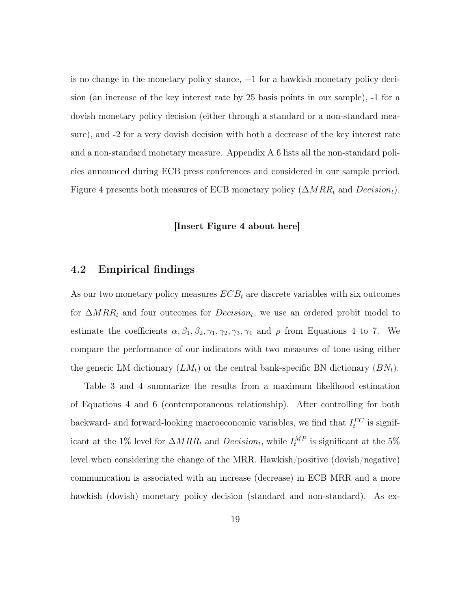is no change in the monetary policy stance,  $+1$  for a hawkish monetary policy decision (an increase of the key interest rate by 25 basis points in our sample), -1 for a dovish monetary policy decision (either through a standard or a non-standard measure), and -2 for a very dovish decision with both a decrease of the key interest rate and a non-standard monetary measure. Appendix [A.6](#page-50-0) lists all the non-standard policies announced during ECB press conferences and considered in our sample period. Figure [4](#page-35-0) presents both measures of ECB monetary policy  $(\Delta MRR_t$  and  $Decision_t)$ .

#### [Insert Figure [4](#page-35-0) about here]

#### 4.2 Empirical findings

As our two monetary policy measures  $ECB_t$  are discrete variables with six outcomes for  $\Delta MRR_t$  and four outcomes for  $Decision_t$ , we use an ordered probit model to estimate the coefficients  $\alpha, \beta_1, \beta_2, \gamma_1, \gamma_2, \gamma_3, \gamma_4$  $\alpha, \beta_1, \beta_2, \gamma_1, \gamma_2, \gamma_3, \gamma_4$  and  $\rho$  from Equations 4 to [7.](#page-16-4) We compare the performance of our indicators with two measures of tone using either the generic LM dictionary  $(LM_t)$  or the central bank-specific BN dictionary  $(BN_t)$ .

Table [3](#page-39-0) and [4](#page-40-0) summarize the results from a maximum likelihood estimation of Equations [4](#page-15-1) and [6](#page-16-3) (contemporaneous relationship). After controlling for both backward- and forward-looking macroeconomic variables, we find that  $I_t^{EC}$  is significant at the 1% level for  $\Delta MRR_t$  and  $Decision_t$ , while  $I_t^{MP}$  is significant at the 5% level when considering the change of the MRR. Hawkish/positive (dovish/negative) communication is associated with an increase (decrease) in ECB MRR and a more hawkish (dovish) monetary policy decision (standard and non-standard). As ex-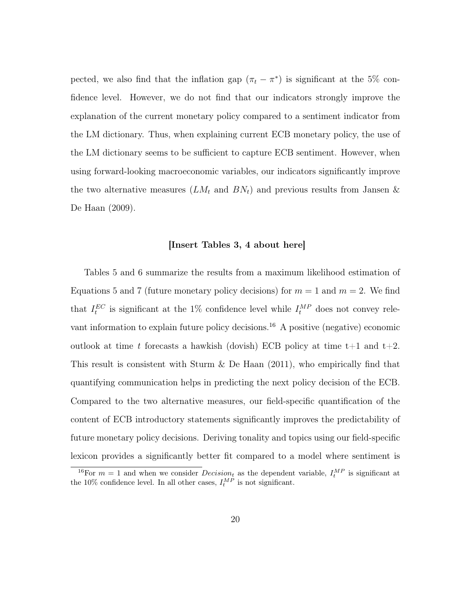pected, we also find that the inflation gap  $(\pi_t - \pi^*)$  is significant at the 5% confidence level. However, we do not find that our indicators strongly improve the explanation of the current monetary policy compared to a sentiment indicator from the LM dictionary. Thus, when explaining current ECB monetary policy, the use of the LM dictionary seems to be sufficient to capture ECB sentiment. However, when using forward-looking macroeconomic variables, our indicators significantly improve the two alternative measures  $(LM_t$  and  $BN_t)$  and previous results from [Jansen &](#page-31-9) [De Haan](#page-31-9) [\(2009\)](#page-31-9).

#### [Insert Tables [3,](#page-39-0) [4](#page-40-0) about here]

Tables [5](#page-41-0) and [6](#page-42-0) summarize the results from a maximum likelihood estimation of Equations [5](#page-15-2) and [7](#page-16-4) (future monetary policy decisions) for  $m = 1$  and  $m = 2$ . We find that  $I_t^{EC}$  is significant at the 1% confidence level while  $I_t^{MP}$  does not convey rele-vant information to explain future policy decisions.<sup>[16](#page-19-0)</sup> A positive (negative) economic outlook at time t forecasts a hawkish (dovish) ECB policy at time  $t+1$  and  $t+2$ . This result is consistent with Sturm  $\&$  De Haan [\(2011\)](#page-32-1), who empirically find that quantifying communication helps in predicting the next policy decision of the ECB. Compared to the two alternative measures, our field-specific quantification of the content of ECB introductory statements significantly improves the predictability of future monetary policy decisions. Deriving tonality and topics using our field-specific lexicon provides a significantly better fit compared to a model where sentiment is

<span id="page-19-0"></span><sup>&</sup>lt;sup>16</sup>For  $m = 1$  and when we consider  $Decision_t$  as the dependent variable,  $I_t^{MP}$  is significant at the 10% confidence level. In all other cases,  $I_t^{MP}$  is not significant.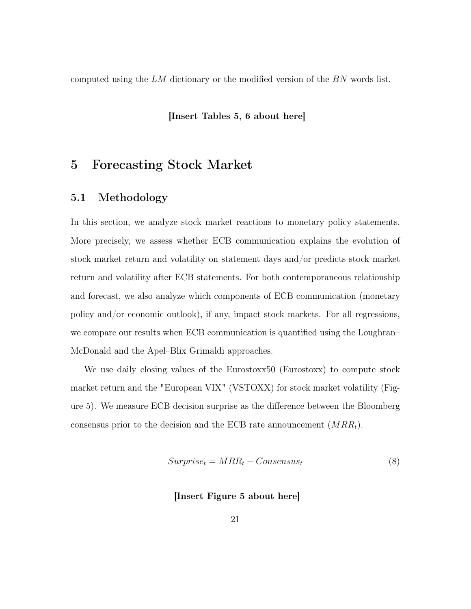computed using the LM dictionary or the modified version of the BN words list.

#### [Insert Tables [5,](#page-41-0) [6](#page-42-0) about here]

### <span id="page-20-0"></span>5 Forecasting Stock Market

#### 5.1 Methodology

In this section, we analyze stock market reactions to monetary policy statements. More precisely, we assess whether ECB communication explains the evolution of stock market return and volatility on statement days and/or predicts stock market return and volatility after ECB statements. For both contemporaneous relationship and forecast, we also analyze which components of ECB communication (monetary policy and/or economic outlook), if any, impact stock markets. For all regressions, we compare our results when ECB communication is quantified using the Loughran– McDonald and the Apel–Blix Grimaldi approaches.

We use daily closing values of the Eurostoxx50 (Eurostoxx) to compute stock market return and the "European VIX" (VSTOXX) for stock market volatility (Figure [5\)](#page-35-1). We measure ECB decision surprise as the difference between the Bloomberg consensus prior to the decision and the ECB rate announcement  $(MRR_t)$ .

$$
Surprise_t = MRR_t - Consensus_t \tag{8}
$$

#### [Insert Figure [5](#page-35-1) about here]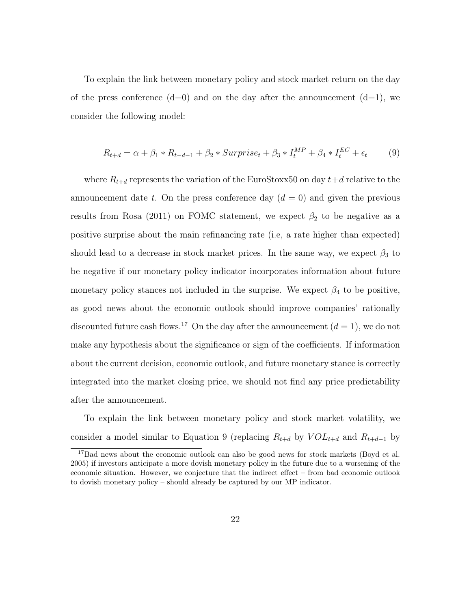To explain the link between monetary policy and stock market return on the day of the press conference  $(d=0)$  and on the day after the announcement  $(d=1)$ , we consider the following model:

<span id="page-21-1"></span>
$$
R_{t+d} = \alpha + \beta_1 * R_{t-d-1} + \beta_2 * Surrprise_t + \beta_3 * I_t^{MP} + \beta_4 * I_t^{EC} + \epsilon_t
$$
 (9)

where  $R_{t+d}$  represents the variation of the EuroStoxx50 on day  $t+d$  relative to the announcement date t. On the press conference day  $(d = 0)$  and given the previous results from [Rosa](#page-32-9) [\(2011\)](#page-32-9) on FOMC statement, we expect  $\beta_2$  to be negative as a positive surprise about the main refinancing rate (i.e, a rate higher than expected) should lead to a decrease in stock market prices. In the same way, we expect  $\beta_3$  to be negative if our monetary policy indicator incorporates information about future monetary policy stances not included in the surprise. We expect  $\beta_4$  to be positive, as good news about the economic outlook should improve companies' rationally discounted future cash flows.<sup>[17](#page-21-0)</sup> On the day after the announcement  $(d = 1)$ , we do not make any hypothesis about the significance or sign of the coefficients. If information about the current decision, economic outlook, and future monetary stance is correctly integrated into the market closing price, we should not find any price predictability after the announcement.

To explain the link between monetary policy and stock market volatility, we consider a model similar to Equation [9](#page-21-1) (replacing  $R_{t+d}$  by  $VOL_{t+d}$  and  $R_{t+d-1}$  by

<span id="page-21-0"></span><sup>&</sup>lt;sup>17</sup>Bad news about the economic outlook can also be good news for stock markets [\(Boyd et al.](#page-29-8) [2005\)](#page-29-8) if investors anticipate a more dovish monetary policy in the future due to a worsening of the economic situation. However, we conjecture that the indirect effect – from bad economic outlook to dovish monetary policy – should already be captured by our MP indicator.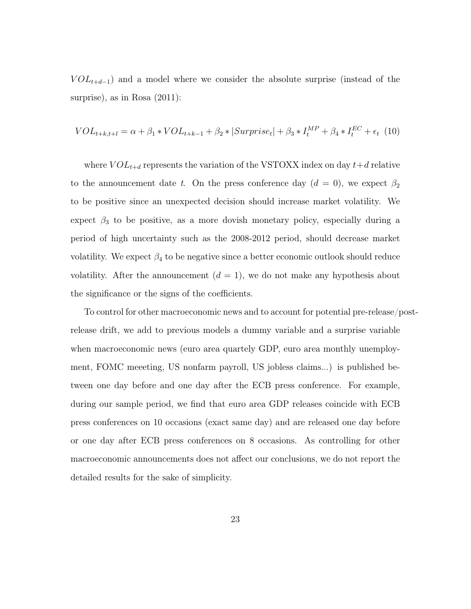<span id="page-22-0"></span> $VOL_{t+d-1}$ ) and a model where we consider the absolute surprise (instead of the surprise), as in [Rosa](#page-32-9)  $(2011)$ :

$$
VOL_{t+k,t+l} = \alpha + \beta_1 * VOL_{t+k-1} + \beta_2 * |Surrrise_t| + \beta_3 * I_t^{MP} + \beta_4 * I_t^{EC} + \epsilon_t \tag{10}
$$

where  $VOL_{t+d}$  represents the variation of the VSTOXX index on day  $t+d$  relative to the announcement date t. On the press conference day  $(d = 0)$ , we expect  $\beta_2$ to be positive since an unexpected decision should increase market volatility. We expect  $\beta_3$  to be positive, as a more dovish monetary policy, especially during a period of high uncertainty such as the 2008-2012 period, should decrease market volatility. We expect  $\beta_4$  to be negative since a better economic outlook should reduce volatility. After the announcement  $(d = 1)$ , we do not make any hypothesis about the significance or the signs of the coefficients.

To control for other macroeconomic news and to account for potential pre-release/postrelease drift, we add to previous models a dummy variable and a surprise variable when macroeconomic news (euro area quartely GDP, euro area monthly unemployment, FOMC meeeting, US nonfarm payroll, US jobless claims...) is published between one day before and one day after the ECB press conference. For example, during our sample period, we find that euro area GDP releases coincide with ECB press conferences on 10 occasions (exact same day) and are released one day before or one day after ECB press conferences on 8 occasions. As controlling for other macroeconomic announcements does not affect our conclusions, we do not report the detailed results for the sake of simplicity.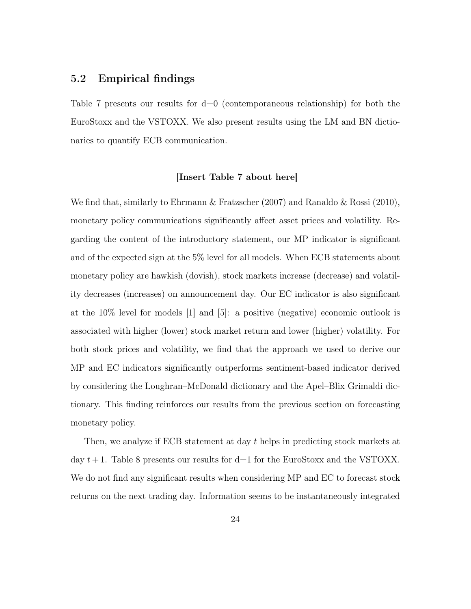#### 5.2 Empirical findings

Table [7](#page-43-0) presents our results for d=0 (contemporaneous relationship) for both the EuroStoxx and the VSTOXX. We also present results using the LM and BN dictionaries to quantify ECB communication.

#### [Insert Table [7](#page-43-0) about here]

We find that, similarly to [Ehrmann & Fratzscher](#page-30-9) [\(2007\)](#page-30-9) and [Ranaldo & Rossi](#page-31-10) [\(2010\)](#page-31-10), monetary policy communications significantly affect asset prices and volatility. Regarding the content of the introductory statement, our MP indicator is significant and of the expected sign at the 5% level for all models. When ECB statements about monetary policy are hawkish (dovish), stock markets increase (decrease) and volatility decreases (increases) on announcement day. Our EC indicator is also significant at the 10% level for models [1] and [5]: a positive (negative) economic outlook is associated with higher (lower) stock market return and lower (higher) volatility. For both stock prices and volatility, we find that the approach we used to derive our MP and EC indicators significantly outperforms sentiment-based indicator derived by considering the Loughran–McDonald dictionary and the Apel–Blix Grimaldi dictionary. This finding reinforces our results from the previous section on forecasting monetary policy.

Then, we analyze if ECB statement at day t helps in predicting stock markets at day  $t+1$ . Table [8](#page-44-0) presents our results for d=1 for the EuroStoxx and the VSTOXX. We do not find any significant results when considering MP and EC to forecast stock returns on the next trading day. Information seems to be instantaneously integrated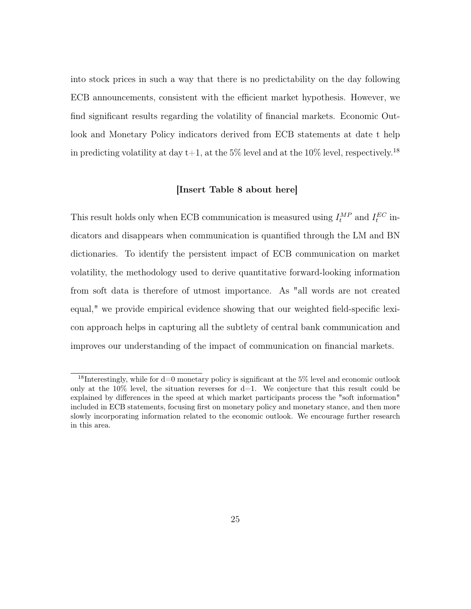into stock prices in such a way that there is no predictability on the day following ECB announcements, consistent with the efficient market hypothesis. However, we find significant results regarding the volatility of financial markets. Economic Outlook and Monetary Policy indicators derived from ECB statements at date t help in predicting volatility at day t+1, at the 5% level and at the 10% level, respectively.<sup>[18](#page-24-0)</sup>

#### [Insert Table [8](#page-44-0) about here]

This result holds only when ECB communication is measured using  $I_t^{MP}$  and  $I_t^{EC}$  indicators and disappears when communication is quantified through the LM and BN dictionaries. To identify the persistent impact of ECB communication on market volatility, the methodology used to derive quantitative forward-looking information from soft data is therefore of utmost importance. As "all words are not created equal," we provide empirical evidence showing that our weighted field-specific lexicon approach helps in capturing all the subtlety of central bank communication and improves our understanding of the impact of communication on financial markets.

<span id="page-24-0"></span><sup>&</sup>lt;sup>18</sup>Interestingly, while for  $d=0$  monetary policy is significant at the 5% level and economic outlook only at the 10% level, the situation reverses for  $d=1$ . We conjecture that this result could be explained by differences in the speed at which market participants process the "soft information" included in ECB statements, focusing first on monetary policy and monetary stance, and then more slowly incorporating information related to the economic outlook. We encourage further research in this area.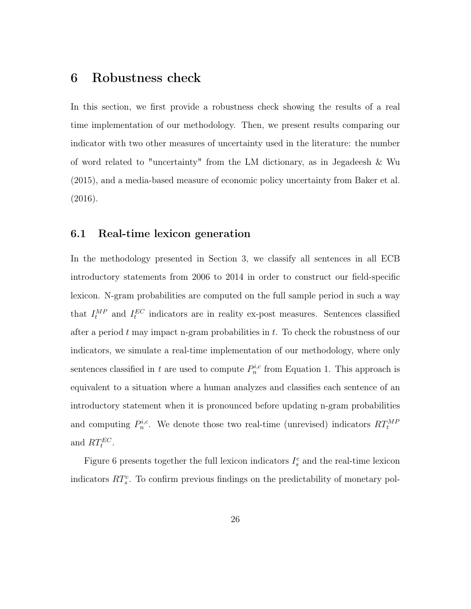### <span id="page-25-0"></span>6 Robustness check

In this section, we first provide a robustness check showing the results of a real time implementation of our methodology. Then, we present results comparing our indicator with two other measures of uncertainty used in the literature: the number of word related to "uncertainty" from the LM dictionary, as in [Jegadeesh & Wu](#page-31-3) [\(2015\)](#page-31-3), and a media-based measure of economic policy uncertainty from [Baker et al.](#page-29-9) [\(2016\)](#page-29-9).

#### 6.1 Real-time lexicon generation

In the methodology presented in Section [3,](#page-7-0) we classify all sentences in all ECB introductory statements from 2006 to 2014 in order to construct our field-specific lexicon. N-gram probabilities are computed on the full sample period in such a way that  $I_t^{MP}$  and  $I_t^{EC}$  indicators are in reality ex-post measures. Sentences classified after a period  $t$  may impact n-gram probabilities in  $t$ . To check the robustness of our indicators, we simulate a real-time implementation of our methodology, where only sentences classified in t are used to compute  $P_n^{i,c}$  from Equation [1.](#page-10-1) This approach is equivalent to a situation where a human analyzes and classifies each sentence of an introductory statement when it is pronounced before updating n-gram probabilities and computing  $P_n^{i,c}$ . We denote those two real-time (unrevised) indicators  $RT_t^{MF}$ and  $RT_t^{EC}$ .

Figure [6](#page-36-0) presents together the full lexicon indicators  $I_s^c$  and the real-time lexicon indicators  $RT_s^c$ . To confirm previous findings on the predictability of monetary pol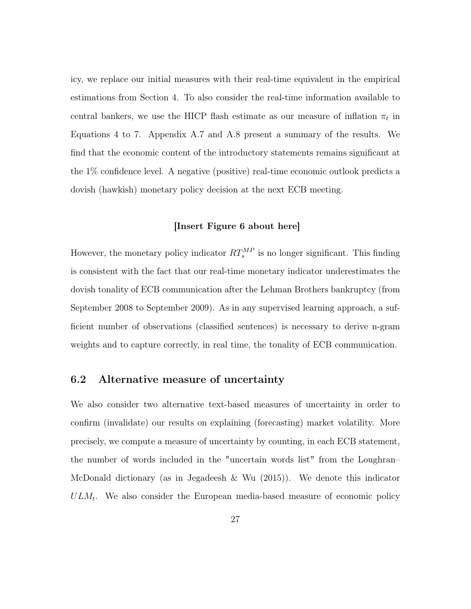icy, we replace our initial measures with their real-time equivalent in the empirical estimations from Section [4.](#page-15-0) To also consider the real-time information available to central bankers, we use the HICP flash estimate as our measure of inflation  $\pi_t$  in Equations [4](#page-15-1) to [7.](#page-16-4) Appendix [A.7](#page-51-0) and [A.8](#page-52-0) present a summary of the results. We find that the economic content of the introductory statements remains significant at the 1% confidence level. A negative (positive) real-time economic outlook predicts a dovish (hawkish) monetary policy decision at the next ECB meeting.

#### [Insert Figure [6](#page-36-0) about here]

However, the monetary policy indicator  $RT_s^{MP}$  is no longer significant. This finding is consistent with the fact that our real-time monetary indicator underestimates the dovish tonality of ECB communication after the Lehman Brothers bankruptcy (from September 2008 to September 2009). As in any supervised learning approach, a sufficient number of observations (classified sentences) is necessary to derive n-gram weights and to capture correctly, in real time, the tonality of ECB communication.

#### 6.2 Alternative measure of uncertainty

We also consider two alternative text-based measures of uncertainty in order to confirm (invalidate) our results on explaining (forecasting) market volatility. More precisely, we compute a measure of uncertainty by counting, in each ECB statement, the number of words included in the "uncertain words list" from the Loughran– McDonald dictionary (as in [Jegadeesh & Wu](#page-31-3) [\(2015\)](#page-31-3)). We denote this indicator  $ULM_t$ . We also consider the European media-based measure of economic policy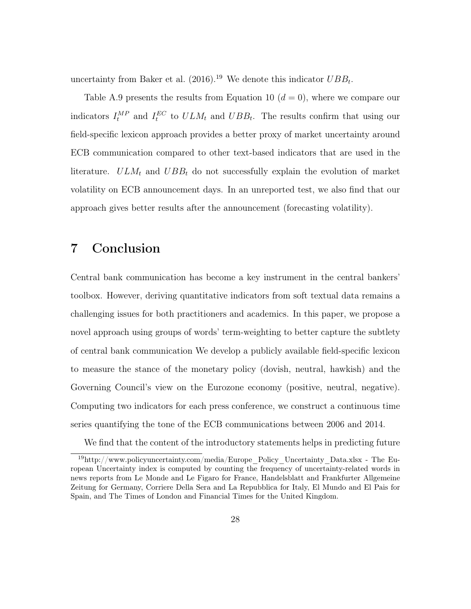uncertainty from [Baker et al.](#page-29-9)  $(2016).^{19}$  $(2016).^{19}$  $(2016).^{19}$  $(2016).^{19}$  We denote this indicator  $UBB_t$ .

Table [A.9](#page-53-0) presents the results from Equation [10](#page-22-0)  $(d = 0)$ , where we compare our indicators  $I_t^{MP}$  and  $I_t^{EC}$  to  $ULM_t$  and  $UBB_t$ . The results confirm that using our field-specific lexicon approach provides a better proxy of market uncertainty around ECB communication compared to other text-based indicators that are used in the literature.  $ULM_t$  and  $UBB_t$  do not successfully explain the evolution of market volatility on ECB announcement days. In an unreported test, we also find that our approach gives better results after the announcement (forecasting volatility).

# <span id="page-27-0"></span>7 Conclusion

Central bank communication has become a key instrument in the central bankers' toolbox. However, deriving quantitative indicators from soft textual data remains a challenging issues for both practitioners and academics. In this paper, we propose a novel approach using groups of words' term-weighting to better capture the subtlety of central bank communication We develop a publicly available field-specific lexicon to measure the stance of the monetary policy (dovish, neutral, hawkish) and the Governing Council's view on the Eurozone economy (positive, neutral, negative). Computing two indicators for each press conference, we construct a continuous time series quantifying the tone of the ECB communications between 2006 and 2014.

<span id="page-27-1"></span>We find that the content of the introductory statements helps in predicting future

 $19$ [http://www.policyuncertainty.com/media/Europe\\_Policy\\_Uncertainty\\_Data.xlsx](http://www.policyuncertainty.com/media/Europe_Policy_Uncertainty_Data.xlsx) - The European Uncertainty index is computed by counting the frequency of uncertainty-related words in news reports from Le Monde and Le Figaro for France, Handelsblatt and Frankfurter Allgemeine Zeitung for Germany, Corriere Della Sera and La Repubblica for Italy, El Mundo and El Pais for Spain, and The Times of London and Financial Times for the United Kingdom.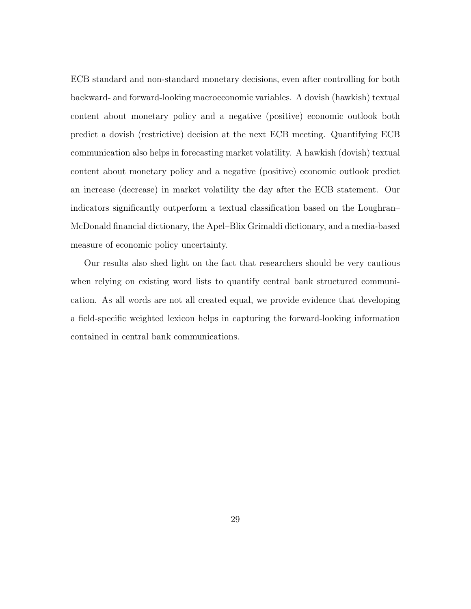ECB standard and non-standard monetary decisions, even after controlling for both backward- and forward-looking macroeconomic variables. A dovish (hawkish) textual content about monetary policy and a negative (positive) economic outlook both predict a dovish (restrictive) decision at the next ECB meeting. Quantifying ECB communication also helps in forecasting market volatility. A hawkish (dovish) textual content about monetary policy and a negative (positive) economic outlook predict an increase (decrease) in market volatility the day after the ECB statement. Our indicators significantly outperform a textual classification based on the Loughran– McDonald financial dictionary, the Apel–Blix Grimaldi dictionary, and a media-based measure of economic policy uncertainty.

Our results also shed light on the fact that researchers should be very cautious when relying on existing word lists to quantify central bank structured communication. As all words are not all created equal, we provide evidence that developing a field-specific weighted lexicon helps in capturing the forward-looking information contained in central bank communications.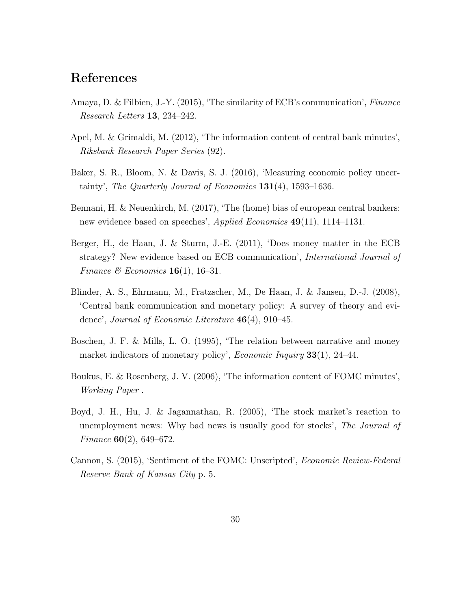# References

- <span id="page-29-6"></span>Amaya, D. & Filbien, J.-Y. (2015), 'The similarity of ECB's communication', Finance Research Letters 13, 234–242.
- <span id="page-29-1"></span>Apel, M. & Grimaldi, M. (2012), 'The information content of central bank minutes', Riksbank Research Paper Series (92).
- <span id="page-29-9"></span>Baker, S. R., Bloom, N. & Davis, S. J. (2016), 'Measuring economic policy uncertainty', The Quarterly Journal of Economics  $131(4)$ , 1593–1636.
- <span id="page-29-7"></span>Bennani, H. & Neuenkirch, M. (2017), 'The (home) bias of european central bankers: new evidence based on speeches', *Applied Economics* 49(11), 1114–1131.
- <span id="page-29-3"></span>Berger, H., de Haan, J. & Sturm, J.-E. (2011), 'Does money matter in the ECB strategy? New evidence based on ECB communication', International Journal of Finance & Economics  $16(1)$ , 16-31.
- <span id="page-29-0"></span>Blinder, A. S., Ehrmann, M., Fratzscher, M., De Haan, J. & Jansen, D.-J. (2008), 'Central bank communication and monetary policy: A survey of theory and evidence', Journal of Economic Literature  $46(4)$ , 910–45.
- <span id="page-29-2"></span>Boschen, J. F. & Mills, L. O. (1995), 'The relation between narrative and money market indicators of monetary policy', *Economic Inquiry* 33(1), 24–44.
- <span id="page-29-4"></span>Boukus, E. & Rosenberg, J. V. (2006), 'The information content of FOMC minutes', Working Paper .
- <span id="page-29-8"></span>Boyd, J. H., Hu, J. & Jagannathan, R. (2005), 'The stock market's reaction to unemployment news: Why bad news is usually good for stocks', The Journal of Finance  $60(2)$ , 649–672.
- <span id="page-29-5"></span>Cannon, S. (2015), 'Sentiment of the FOMC: Unscripted', Economic Review-Federal Reserve Bank of Kansas City p. 5.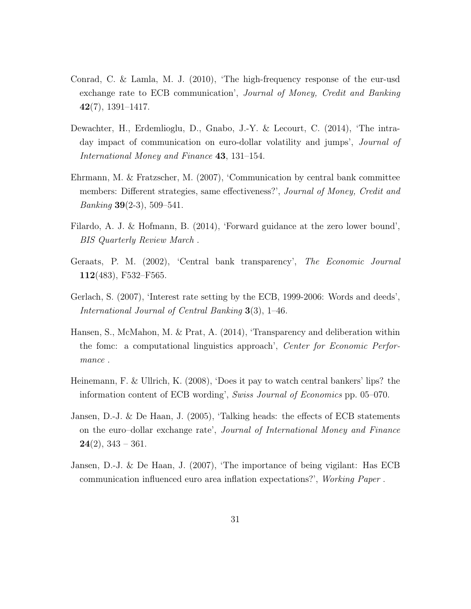- <span id="page-30-4"></span>Conrad, C. & Lamla, M. J. (2010), 'The high-frequency response of the eur-usd exchange rate to ECB communication', Journal of Money, Credit and Banking 42(7), 1391–1417.
- <span id="page-30-2"></span>Dewachter, H., Erdemlioglu, D., Gnabo, J.-Y. & Lecourt, C. (2014), 'The intraday impact of communication on euro-dollar volatility and jumps', *Journal of* International Money and Finance 43, 131–154.
- <span id="page-30-9"></span>Ehrmann, M. & Fratzscher, M. (2007), 'Communication by central bank committee members: Different strategies, same effectiveness?', Journal of Money, Credit and *Banking* **39** $(2-3)$ , 509–541.
- <span id="page-30-1"></span>Filardo, A. J. & Hofmann, B. (2014), 'Forward guidance at the zero lower bound', BIS Quarterly Review March .
- <span id="page-30-0"></span>Geraats, P. M. (2002), 'Central bank transparency', The Economic Journal  $112(483)$ , F532–F565.
- <span id="page-30-3"></span>Gerlach, S. (2007), 'Interest rate setting by the ECB, 1999-2006: Words and deeds', International Journal of Central Banking 3(3), 1–46.
- <span id="page-30-6"></span>Hansen, S., McMahon, M. & Prat, A. (2014), 'Transparency and deliberation within the fomc: a computational linguistics approach', Center for Economic Performance .
- <span id="page-30-7"></span>Heinemann, F. & Ullrich, K. (2008), 'Does it pay to watch central bankers' lips? the information content of ECB wording', Swiss Journal of Economics pp. 05–070.
- <span id="page-30-8"></span>Jansen, D.-J. & De Haan, J. (2005), 'Talking heads: the effects of ECB statements on the euro–dollar exchange rate', Journal of International Money and Finance  $24(2)$ ,  $343 - 361$ .
- <span id="page-30-5"></span>Jansen, D.-J. & De Haan, J. (2007), 'The importance of being vigilant: Has ECB communication influenced euro area inflation expectations?', Working Paper .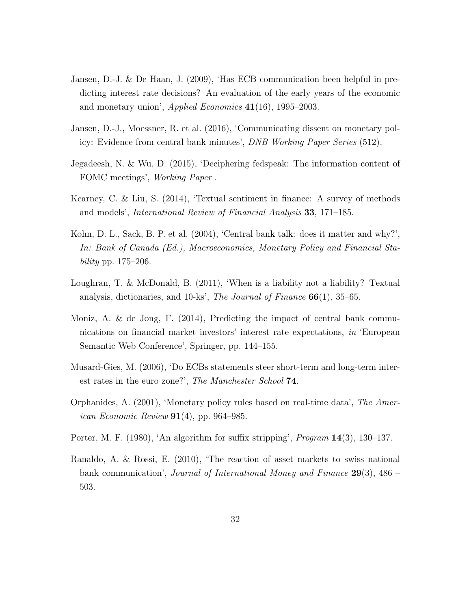- <span id="page-31-9"></span>Jansen, D.-J. & De Haan, J. (2009), 'Has ECB communication been helpful in predicting interest rate decisions? An evaluation of the early years of the economic and monetary union', *Applied Economics*  $41(16)$ , 1995–2003.
- <span id="page-31-5"></span>Jansen, D.-J., Moessner, R. et al. (2016), 'Communicating dissent on monetary policy: Evidence from central bank minutes', DNB Working Paper Series (512).
- <span id="page-31-3"></span>Jegadeesh, N. & Wu, D. (2015), 'Deciphering fedspeak: The information content of FOMC meetings', Working Paper .
- <span id="page-31-6"></span>Kearney, C. & Liu, S. (2014), 'Textual sentiment in finance: A survey of methods and models', International Review of Financial Analysis 33, 171–185.
- <span id="page-31-2"></span>Kohn, D. L., Sack, B. P. et al. (2004), 'Central bank talk: does it matter and why?', In: Bank of Canada (Ed.), Macroeconomics, Monetary Policy and Financial Stability pp. 175–206.
- <span id="page-31-0"></span>Loughran, T. & McDonald, B. (2011), 'When is a liability not a liability? Textual analysis, dictionaries, and  $10$ -ks', *The Journal of Finance*  $66(1)$ ,  $35-65$ .
- <span id="page-31-4"></span>Moniz, A. & de Jong, F. (2014), Predicting the impact of central bank communications on financial market investors' interest rate expectations, in 'European Semantic Web Conference', Springer, pp. 144–155.
- <span id="page-31-1"></span>Musard-Gies, M. (2006), 'Do ECBs statements steer short-term and long-term interest rates in the euro zone?', The Manchester School 74.
- <span id="page-31-8"></span>Orphanides, A. (2001), 'Monetary policy rules based on real-time data', The Amer*ican Economic Review*  $91(4)$ , pp. 964–985.
- <span id="page-31-7"></span>Porter, M. F. (1980), 'An algorithm for suffix stripping', Program 14(3), 130–137.
- <span id="page-31-10"></span>Ranaldo, A. & Rossi, E. (2010), 'The reaction of asset markets to swiss national bank communication', Journal of International Money and Finance  $29(3)$ , 486 – 503.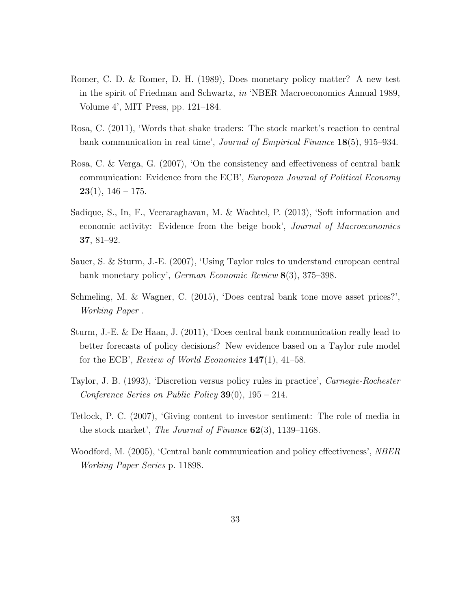- <span id="page-32-2"></span>Romer, C. D. & Romer, D. H. (1989), Does monetary policy matter? A new test in the spirit of Friedman and Schwartz, in 'NBER Macroeconomics Annual 1989, Volume 4', MIT Press, pp. 121–184.
- <span id="page-32-9"></span>Rosa, C. (2011), 'Words that shake traders: The stock market's reaction to central bank communication in real time', Journal of Empirical Finance 18(5), 915–934.
- <span id="page-32-3"></span>Rosa, C. & Verga, G. (2007), 'On the consistency and effectiveness of central bank communication: Evidence from the ECB', European Journal of Political Economy  $23(1), 146 - 175.$
- <span id="page-32-7"></span>Sadique, S., In, F., Veeraraghavan, M. & Wachtel, P. (2013), 'Soft information and economic activity: Evidence from the beige book', *Journal of Macroeconomics* 37, 81–92.
- <span id="page-32-8"></span>Sauer, S. & Sturm, J.-E. (2007), 'Using Taylor rules to understand european central bank monetary policy', German Economic Review 8(3), 375–398.
- <span id="page-32-5"></span>Schmeling, M. & Wagner, C. (2015), 'Does central bank tone move asset prices?', Working Paper .
- <span id="page-32-1"></span>Sturm, J.-E. & De Haan, J. (2011), 'Does central bank communication really lead to better forecasts of policy decisions? New evidence based on a Taylor rule model for the ECB', Review of World Economics  $147(1)$ , 41–58.
- <span id="page-32-6"></span>Taylor, J. B. (1993), 'Discretion versus policy rules in practice', Carnegie-Rochester Conference Series on Public Policy  $39(0)$ ,  $195 - 214$ .
- <span id="page-32-4"></span>Tetlock, P. C. (2007), 'Giving content to investor sentiment: The role of media in the stock market', The Journal of Finance  $62(3)$ , 1139–1168.
- <span id="page-32-0"></span>Woodford, M. (2005), 'Central bank communication and policy effectiveness', *NBER* Working Paper Series p. 11898.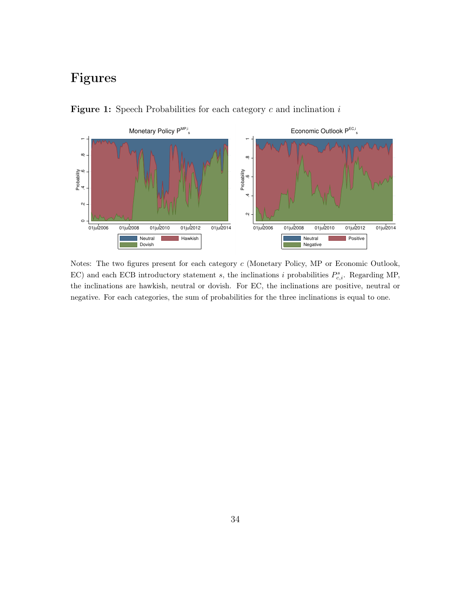# Figures



<span id="page-33-0"></span>**Figure 1:** Speech Probabilities for each category  $c$  and inclination  $i$ 

Notes: The two figures present for each category c (Monetary Policy, MP or Economic Outlook, EC) and each ECB introductory statement s, the inclinations i probabilities  $P_{c,i}^s$ . Regarding MP, the inclinations are hawkish, neutral or dovish. For EC, the inclinations are positive, neutral or negative. For each categories, the sum of probabilities for the three inclinations is equal to one.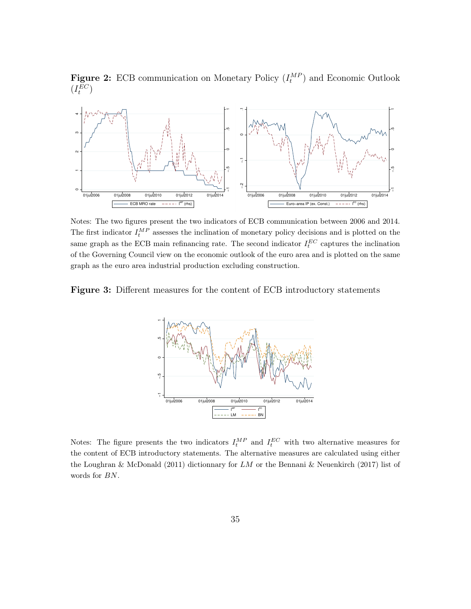<span id="page-34-0"></span>**Figure 2:** ECB communication on Monetary Policy  $(I_t^{MP})$  and Economic Outlook  $(I_t^{EC})$ 



Notes: The two figures present the two indicators of ECB communication between 2006 and 2014. The first indicator  $I_t^{MP}$  assesses the inclination of monetary policy decisions and is plotted on the same graph as the ECB main refinancing rate. The second indicator  $I_t^{EC}$  captures the inclination of the Governing Council view on the economic outlook of the euro area and is plotted on the same graph as the euro area industrial production excluding construction.

<span id="page-34-1"></span>Figure 3: Different measures for the content of ECB introductory statements



Notes: The figure presents the two indicators  $I_t^{MP}$  and  $I_t^{EC}$  with two alternative measures for the content of ECB introductory statements. The alternative measures are calculated using either the [Loughran & McDonald](#page-31-0) [\(2011\)](#page-31-0) dictionnary for LM or the [Bennani & Neuenkirch](#page-29-7) [\(2017\)](#page-29-7) list of words for BN.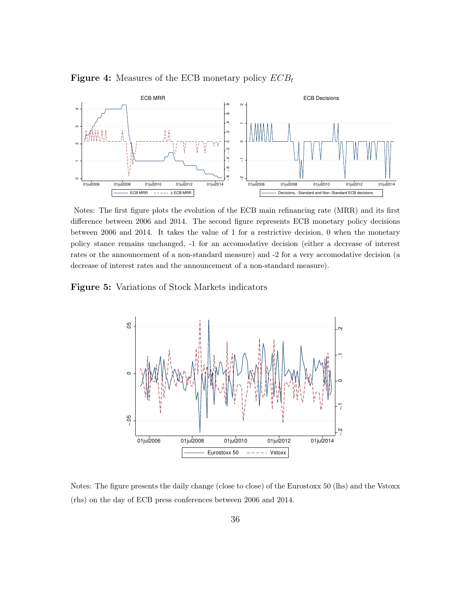

<span id="page-35-0"></span>**Figure 4:** Measures of the ECB monetary policy  $ECB_t$ 

Notes: The first figure plots the evolution of the ECB main refinancing rate (MRR) and its first difference between 2006 and 2014. The second figure represents ECB monetary policy decisions between 2006 and 2014. It takes the value of 1 for a restrictive decision, 0 when the monetary policy stance remains unchanged, -1 for an accomodative decision (either a decrease of interest rates or the announcement of a non-standard measure) and -2 for a very accomodative decision (a decrease of interest rates and the announcement of a non-standard measure).

<span id="page-35-1"></span>Figure 5: Variations of Stock Markets indicators



Notes: The figure presents the daily change (close to close) of the Eurostoxx 50 (lhs) and the Vstoxx (rhs) on the day of ECB press conferences between 2006 and 2014.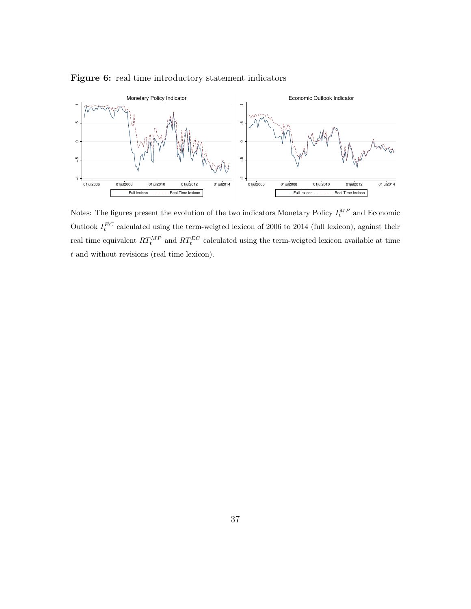

<span id="page-36-0"></span>Figure 6: real time introductory statement indicators

Notes: The figures present the evolution of the two indicators Monetary Policy  $I_t^{MP}$  and Economic Outlook  $I_t^{EC}$  calculated using the term-weigted lexicon of 2006 to 2014 (full lexicon), against their real time equivalent  $RT_t^{MP}$  and  $RT_t^{EC}$  calculated using the term-weigted lexicon available at time t and without revisions (real time lexicon).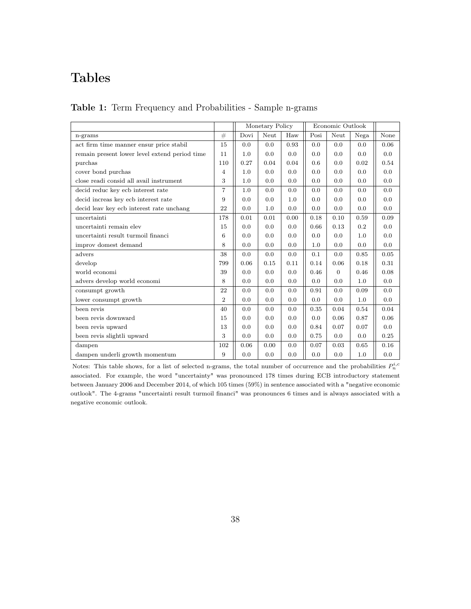# Tables

<span id="page-37-0"></span>

|  |  |  |  | Table 1: Term Frequency and Probabilities - Sample n-grams |  |  |
|--|--|--|--|------------------------------------------------------------|--|--|
|--|--|--|--|------------------------------------------------------------|--|--|

|                                               |                |      | Monetary Policy |      |      | Economic Outlook |      |      |
|-----------------------------------------------|----------------|------|-----------------|------|------|------------------|------|------|
| n-grams                                       | #              | Dovi | Neut            | Haw  | Posi | Neut             | Nega | None |
| act firm time manner ensur price stabil       | 15             | 0.0  | 0.0             | 0.93 | 0.0  | 0.0              | 0.0  | 0.06 |
| remain present lower level extend period time | 11             | 1.0  | 0.0             | 0.0  | 0.0  | 0.0              | 0.0  | 0.0  |
| purchas                                       | 110            | 0.27 | 0.04            | 0.04 | 0.6  | 0.0              | 0.02 | 0.54 |
| cover bond purchas                            | $\overline{4}$ | 1.0  | 0.0             | 0.0  | 0.0  | 0.0              | 0.0  | 0.0  |
| close readi consid all avail instrument       | 3              | 1.0  | 0.0             | 0.0  | 0.0  | 0.0              | 0.0  | 0.0  |
| decid reduc key ecb interest rate             | $\overline{7}$ | 1.0  | 0.0             | 0.0  | 0.0  | 0.0              | 0.0  | 0.0  |
| decid increas key ecb interest rate           | 9              | 0.0  | 0.0             | 1.0  | 0.0  | 0.0              | 0.0  | 0.0  |
| decid leav key ecb interest rate unchang      | 22             | 0.0  | 1.0             | 0.0  | 0.0  | 0.0              | 0.0  | 0.0  |
| uncertainti                                   | 178            | 0.01 | 0.01            | 0.00 | 0.18 | 0.10             | 0.59 | 0.09 |
| uncertainti remain elev                       | 15             | 0.0  | 0.0             | 0.0  | 0.66 | 0.13             | 0.2  | 0.0  |
| uncertainti result turmoil financi            | 6              | 0.0  | 0.0             | 0.0  | 0.0  | 0.0              | 1.0  | 0.0  |
| improv domest demand                          | 8              | 0.0  | 0.0             | 0.0  | 1.0  | 0.0              | 0.0  | 0.0  |
| advers                                        | 38             | 0.0  | 0.0             | 0.0  | 0.1  | 0.0              | 0.85 | 0.05 |
| develop                                       | 799            | 0.06 | 0.15            | 0.11 | 0.14 | 0.06             | 0.18 | 0.31 |
| world economi                                 | 39             | 0.0  | 0.0             | 0.0  | 0.46 | $\Omega$         | 0.46 | 0.08 |
| advers develop world economi                  | 8              | 0.0  | 0.0             | 0.0  | 0.0  | 0.0              | 1.0  | 0.0  |
| consumpt growth                               | 22             | 0.0  | 0.0             | 0.0  | 0.91 | 0.0              | 0.09 | 0.0  |
| lower consumpt growth                         | $\overline{2}$ | 0.0  | 0.0             | 0.0  | 0.0  | 0.0              | 1.0  | 0.0  |
| been revis                                    | 40             | 0.0  | 0.0             | 0.0  | 0.35 | 0.04             | 0.54 | 0.04 |
| been revis downward                           | 15             | 0.0  | 0.0             | 0.0  | 0.0  | 0.06             | 0.87 | 0.06 |
| been revis upward                             | 13             | 0.0  | 0.0             | 0.0  | 0.84 | 0.07             | 0.07 | 0.0  |
| been revis slightli upward                    | 3              | 0.0  | 0.0             | 0.0  | 0.75 | 0.0              | 0.0  | 0.25 |
| dampen                                        | 102            | 0.06 | 0.00            | 0.0  | 0.07 | 0.03             | 0.65 | 0.16 |
| dampen underli growth momentum                | 9              | 0.0  | 0.0             | 0.0  | 0.0  | 0.0              | 1.0  | 0.0  |

Notes: This table shows, for a list of selected n-grams, the total number of occurrence and the probabilities  $P_n^{i,c}$ associated. For example, the word "uncertainty" was pronounced 178 times during ECB introductory statement between January 2006 and December 2014, of which 105 times (59%) in sentence associated with a "negative economic outlook". The 4-grams "uncertainti result turmoil financi" was pronounces 6 times and is always associated with a negative economic outlook.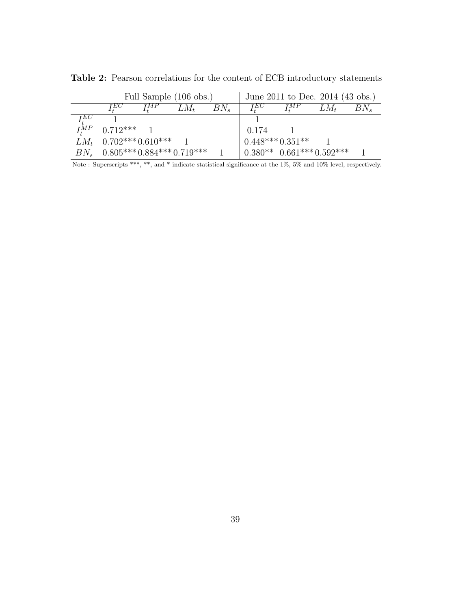|          |                                     |     | Full Sample (106 obs.) |              |                    | June 2011 to Dec. 2014 (43 obs.)         |        |          |
|----------|-------------------------------------|-----|------------------------|--------------|--------------------|------------------------------------------|--------|----------|
|          | TЕC                                 | ŢМР | $LM_t$                 | $BN_{\rm s}$ | $I_{\cdot}^{EC}$   | $I^{MP}$                                 | $LM_t$ | $BN_{s}$ |
| TEC.     |                                     |     |                        |              |                    |                                          |        |          |
| $I^{MP}$ | $10.712***$ 1                       |     |                        |              | 0.174              |                                          |        |          |
|          | $LM_t$   0.702*** 0.610***          |     |                        |              | $0.448***0.351***$ |                                          |        |          |
|          | $BN_s$   $0.805***0.884***0.719***$ |     |                        |              |                    | $0.380^{**}$ $0.661^{***}$ $0.592^{***}$ |        |          |

<span id="page-38-0"></span>Table 2: Pearson correlations for the content of ECB introductory statements

Note : Superscripts \*\*\*, \*\*, and \* indicate statistical significance at the 1%, 5% and 10% level, respectively.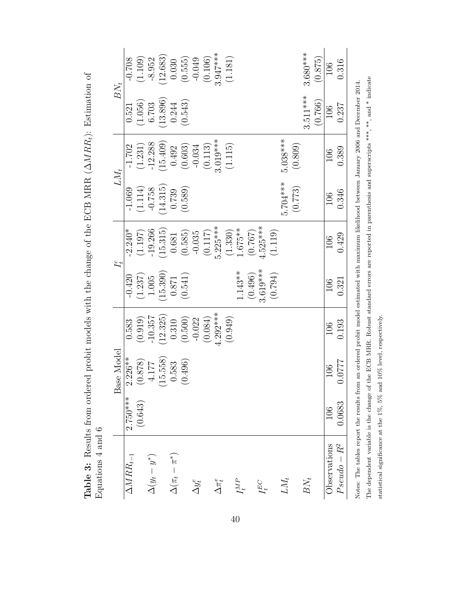| $3.680***$<br>$(0.106)$<br>3.947***<br>(12.683)<br>(1.181)<br>(1.109)<br>$(0.555)$<br>$-0.049$<br>(0.875)<br>$-0.708$<br>$-8.952$<br>0.030<br>0.316<br>106<br>$3.511***$<br>$(13.896)$ $0.244$<br>(0.766)<br>$(1.056)$<br>6.703<br>(0.543)<br>0.237<br>0.521<br>106<br>$(0.113)$<br>3.019***<br>(1.115)<br>$5.038***$<br>$(1.231)$<br>-12.288<br>$(15.409)$<br>0.492<br>$(0.603)$<br>$-0.034$<br>(0.809)<br>$-1.702$<br>0.389<br>106<br>5.704***<br>(14.315)<br>(0.773)<br>$(1.114)$<br>-0.758<br>(0.589)<br>$-1.069$<br>0.739<br>0.346<br>106<br>$5.225***$<br>$4.525***$<br>$1.675**$<br>(1.330)<br>$-19.266$<br>(1.119)<br>(15.315)<br>(0.117)<br>$-2.240*$<br>(1.197)<br>$(0.585)$<br>$-0.035$<br>(0.767)<br>0.681<br>0.429<br>106<br>$3.619***$<br>$1.143**$<br>(0.496)<br>(15.390)<br>(0.794)<br>(0.541)<br>$(1.237)$ $1.005$<br>$0.871\,$<br>$-0.420$<br>0.321<br>106<br>$-292***$<br>(12.325)<br>(0.949)<br>$-10.357$<br>(0.084)<br>(0.919)<br>$(0.500)$<br>-0.022<br>0.310<br>0.583<br>0.193<br>106<br>$2.226**$<br>(15.558)<br>$(0.878)$ (878)<br>1220:0<br>(0.496)<br>0.583<br>106<br>(0.643)<br>0.0683<br>106<br>$Pseudo - R^2$<br>Observations<br>$\Delta(\pi_t-\pi^*)$<br>$\Delta(y_t-y^*)$<br>${\it LM}_t$<br>$BN_t$<br>$\Delta\pi_t^e$<br>${\cal I}_t^{MP}$<br>$\Delta y_t^e$<br>$I_t^{EC}$ |                                 |            | sase Model<br>щ |  | $I_t^c$ | $LM_t$ | $BN_t$ |  |
|-------------------------------------------------------------------------------------------------------------------------------------------------------------------------------------------------------------------------------------------------------------------------------------------------------------------------------------------------------------------------------------------------------------------------------------------------------------------------------------------------------------------------------------------------------------------------------------------------------------------------------------------------------------------------------------------------------------------------------------------------------------------------------------------------------------------------------------------------------------------------------------------------------------------------------------------------------------------------------------------------------------------------------------------------------------------------------------------------------------------------------------------------------------------------------------------------------------------------------------------------------------------------------------------------------------|---------------------------------|------------|-----------------|--|---------|--------|--------|--|
|                                                                                                                                                                                                                                                                                                                                                                                                                                                                                                                                                                                                                                                                                                                                                                                                                                                                                                                                                                                                                                                                                                                                                                                                                                                                                                             | $\overline{\Delta M R R_{t-1}}$ | $2.750***$ |                 |  |         |        |        |  |
|                                                                                                                                                                                                                                                                                                                                                                                                                                                                                                                                                                                                                                                                                                                                                                                                                                                                                                                                                                                                                                                                                                                                                                                                                                                                                                             |                                 |            |                 |  |         |        |        |  |
|                                                                                                                                                                                                                                                                                                                                                                                                                                                                                                                                                                                                                                                                                                                                                                                                                                                                                                                                                                                                                                                                                                                                                                                                                                                                                                             |                                 |            |                 |  |         |        |        |  |
|                                                                                                                                                                                                                                                                                                                                                                                                                                                                                                                                                                                                                                                                                                                                                                                                                                                                                                                                                                                                                                                                                                                                                                                                                                                                                                             |                                 |            |                 |  |         |        |        |  |
|                                                                                                                                                                                                                                                                                                                                                                                                                                                                                                                                                                                                                                                                                                                                                                                                                                                                                                                                                                                                                                                                                                                                                                                                                                                                                                             |                                 |            |                 |  |         |        |        |  |
|                                                                                                                                                                                                                                                                                                                                                                                                                                                                                                                                                                                                                                                                                                                                                                                                                                                                                                                                                                                                                                                                                                                                                                                                                                                                                                             |                                 |            |                 |  |         |        |        |  |
|                                                                                                                                                                                                                                                                                                                                                                                                                                                                                                                                                                                                                                                                                                                                                                                                                                                                                                                                                                                                                                                                                                                                                                                                                                                                                                             |                                 |            |                 |  |         |        |        |  |
|                                                                                                                                                                                                                                                                                                                                                                                                                                                                                                                                                                                                                                                                                                                                                                                                                                                                                                                                                                                                                                                                                                                                                                                                                                                                                                             |                                 |            |                 |  |         |        |        |  |
|                                                                                                                                                                                                                                                                                                                                                                                                                                                                                                                                                                                                                                                                                                                                                                                                                                                                                                                                                                                                                                                                                                                                                                                                                                                                                                             |                                 |            |                 |  |         |        |        |  |
|                                                                                                                                                                                                                                                                                                                                                                                                                                                                                                                                                                                                                                                                                                                                                                                                                                                                                                                                                                                                                                                                                                                                                                                                                                                                                                             |                                 |            |                 |  |         |        |        |  |
|                                                                                                                                                                                                                                                                                                                                                                                                                                                                                                                                                                                                                                                                                                                                                                                                                                                                                                                                                                                                                                                                                                                                                                                                                                                                                                             |                                 |            |                 |  |         |        |        |  |
|                                                                                                                                                                                                                                                                                                                                                                                                                                                                                                                                                                                                                                                                                                                                                                                                                                                                                                                                                                                                                                                                                                                                                                                                                                                                                                             |                                 |            |                 |  |         |        |        |  |
|                                                                                                                                                                                                                                                                                                                                                                                                                                                                                                                                                                                                                                                                                                                                                                                                                                                                                                                                                                                                                                                                                                                                                                                                                                                                                                             |                                 |            |                 |  |         |        |        |  |
|                                                                                                                                                                                                                                                                                                                                                                                                                                                                                                                                                                                                                                                                                                                                                                                                                                                                                                                                                                                                                                                                                                                                                                                                                                                                                                             |                                 |            |                 |  |         |        |        |  |
|                                                                                                                                                                                                                                                                                                                                                                                                                                                                                                                                                                                                                                                                                                                                                                                                                                                                                                                                                                                                                                                                                                                                                                                                                                                                                                             |                                 |            |                 |  |         |        |        |  |
|                                                                                                                                                                                                                                                                                                                                                                                                                                                                                                                                                                                                                                                                                                                                                                                                                                                                                                                                                                                                                                                                                                                                                                                                                                                                                                             |                                 |            |                 |  |         |        |        |  |
|                                                                                                                                                                                                                                                                                                                                                                                                                                                                                                                                                                                                                                                                                                                                                                                                                                                                                                                                                                                                                                                                                                                                                                                                                                                                                                             |                                 |            |                 |  |         |        |        |  |
|                                                                                                                                                                                                                                                                                                                                                                                                                                                                                                                                                                                                                                                                                                                                                                                                                                                                                                                                                                                                                                                                                                                                                                                                                                                                                                             |                                 |            |                 |  |         |        |        |  |
|                                                                                                                                                                                                                                                                                                                                                                                                                                                                                                                                                                                                                                                                                                                                                                                                                                                                                                                                                                                                                                                                                                                                                                                                                                                                                                             |                                 |            |                 |  |         |        |        |  |
|                                                                                                                                                                                                                                                                                                                                                                                                                                                                                                                                                                                                                                                                                                                                                                                                                                                                                                                                                                                                                                                                                                                                                                                                                                                                                                             |                                 |            |                 |  |         |        |        |  |

<span id="page-39-0"></span>Table 3: Results from ordered probit models with the change of the ECB MRR  $(\Delta MRR)$ : Estimation of Table 3: Results from ordered probit models with the change of the ECB MRR (∆MRR<sub>t</sub>): Estimation of  $\ddot{\cdot}$ 

The dependent variable is the change of the ECB MRR. Robust standard errors are reported in parenthesis and superscripts \*\*\*, and \* indicate The dependent variable is the change of the ECB MRR. Robust standard errors are reported in parenthesis and superscripts \*\*\*, \*\*, and \* indicate Notes: The tables report the results from an ordered probit model estimated with maximum likelihood between January 2006 and December 2014. Notes: The tables report the results from an ordered probit model estimated with maximum likelihood between January 2006 and December 2014. statistical significance at the 1%, 5% and 10% level, respectively. statistical significance at the 1%, 5% and 10% level, respectively.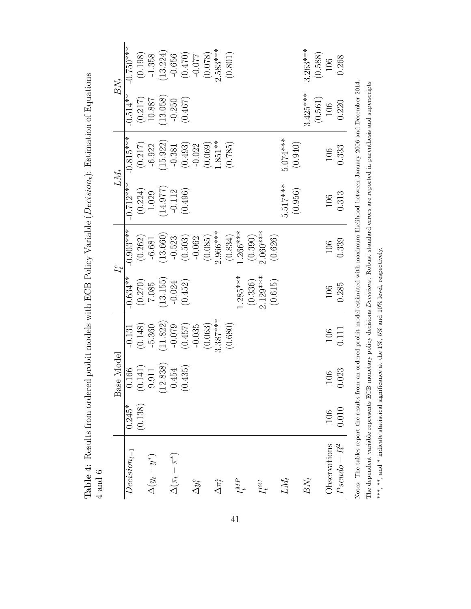<span id="page-40-0"></span>Table 4: Results from ordered probit models with ECB Policy Variable (Decision<sub>t</sub>): Estimation of Equations **Table 4:** Results from ordered probit models with ECB Policy Variable ( $Decision_t$ ): Estimation of Equations [4](#page-15-1) and [6](#page-16-3)

| $BN_t$     | $-0.750***$      | (0.198)            | $-1.358$          | (13.224) | $-0.656$              | $(0.470)$<br>(0.74.0) |                | (0.078) | $2.583***$      | (0.801) |            |         |            |         |            |         | $3.263***$ | (0.588) | 106          | 0.268        |
|------------|------------------|--------------------|-------------------|----------|-----------------------|-----------------------|----------------|---------|-----------------|---------|------------|---------|------------|---------|------------|---------|------------|---------|--------------|--------------|
|            | $-0.514**$       | (0.217)            | 10.887            | (13.058) | $-0.250$              | (0.467)               |                |         |                 |         |            |         |            |         |            |         | $3.425***$ | (0.561) | 106          | 0.220        |
| $LM_t$     | $-0.815***$      | (0.217)            | $-6.922$          | (15.922) | $-0.381$              | (0.493)               | $-0.022$       | (0.069) | $1.851**$       | (0.785) |            |         |            |         | $5.074***$ | (0.940) |            |         | 106          | 0.333        |
|            | $-0.712***$      | $(0.224)$<br>1.029 |                   | (14.977) | $-0.112$              | (0.496)               |                |         |                 |         |            |         |            |         | 5.517***   | (0.956) |            |         | 106          | 0.313        |
| $I_t^c$    | $-0.903***$      | (0.262)            | $-6.681$          | (13.660) | $-0.523$              | (0.503)               | $-0.062$       | (0.085) | $2.966***$      | (0.834) | $.266***$  | (0.390) | $2.060***$ | (0.626) |            |         |            |         | 106          | 0.339        |
|            | $-0.634**$       | (0.270)            | 7.085             | 13.155   | $-0.024$              | (0.452)               |                |         |                 |         | $1.285***$ | (0.336) | $2.129***$ | (0.615) |            |         |            |         | 106          | 0.285        |
|            | $-0.131$         | (0.148)            | $-5.360$          | (11.822) | $-0.079$              | (0.457)               | $-0.035$       | (0.063) | $3.387***$      | (0.680) |            |         |            |         |            |         |            |         | 106          | 0.111        |
| Base Model | 0.166            | (0.141)            | 9.911             | (12.838) | 0.454                 | (0.435)               |                |         |                 |         |            |         |            |         |            |         |            |         | 106          | 0.023        |
|            | $0.245*$         | (0.138)            |                   |          |                       |                       |                |         |                 |         |            |         |            |         |            |         |            |         | 106          | 0.010        |
|            | $Decision_{t-1}$ |                    | $\Delta(y_t-y^*)$ |          | $\Delta(\pi_t-\pi^*)$ |                       | $\Delta y_t^e$ |         | $\Delta\pi_t^e$ |         | $I_t^{MP}$ |         | $I_t^{EC}$ |         | $LM_t$     |         | $BN_t$     |         | Observations | $Pseudo-R^2$ |

The dependent variable represents ECB monetary policy decisions *Decision*<sub>t</sub>. Robust standard errors are reported in parenthesis and superscripts \*\*\*, \*\*\*, and \* indicate statistical significance at the 1%, 5% and 10% le Notes: The tables report the results from an ordered probit model estimated with maximum likelihood between January 2006 and December 2014. The dependent variable represents ECB monetary policy decisions Decisiont. Robust standard errors are reported in parenthesis and superscripts \*\*\*, and \* indicate statistical significance at the 1%, 5% and 10% level, respectively.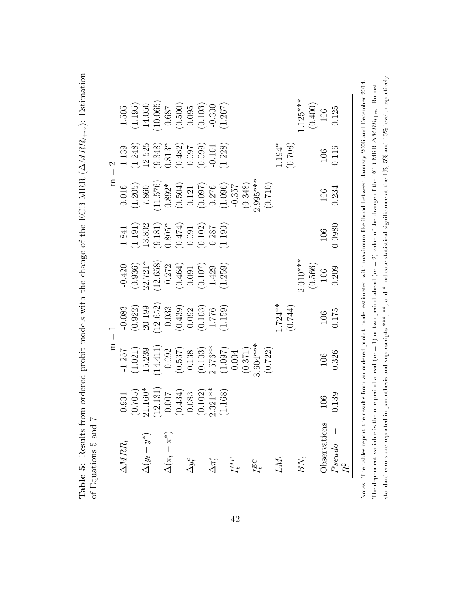<span id="page-41-0"></span>

| l                                                                                                                                                                                                                                                                             |   |
|-------------------------------------------------------------------------------------------------------------------------------------------------------------------------------------------------------------------------------------------------------------------------------|---|
| ،<br>پا                                                                                                                                                                                                                                                                       |   |
| $\frac{1}{2}$                                                                                                                                                                                                                                                                 |   |
| .<br>.                                                                                                                                                                                                                                                                        |   |
|                                                                                                                                                                                                                                                                               |   |
|                                                                                                                                                                                                                                                                               |   |
| $T \sim FCR$ MRR $(ANPR)$                                                                                                                                                                                                                                                     |   |
|                                                                                                                                                                                                                                                                               |   |
|                                                                                                                                                                                                                                                                               |   |
| $+$ $+$ $+$                                                                                                                                                                                                                                                                   |   |
|                                                                                                                                                                                                                                                                               |   |
|                                                                                                                                                                                                                                                                               |   |
| (你十分1万mm string that and his hour of the string that a string to his string that a string to his string that a string of the string of the string of the string of the string of the string of the string of the string of th<br>in ardarad nish it analala with tha an ma oi |   |
|                                                                                                                                                                                                                                                                               |   |
|                                                                                                                                                                                                                                                                               |   |
|                                                                                                                                                                                                                                                                               |   |
|                                                                                                                                                                                                                                                                               |   |
|                                                                                                                                                                                                                                                                               |   |
|                                                                                                                                                                                                                                                                               |   |
|                                                                                                                                                                                                                                                                               |   |
|                                                                                                                                                                                                                                                                               | Į |
|                                                                                                                                                                                                                                                                               |   |
|                                                                                                                                                                                                                                                                               | ١ |
| j                                                                                                                                                                                                                                                                             | I |
| $\overline{a}$                                                                                                                                                                                                                                                                |   |
| Í                                                                                                                                                                                                                                                                             | ļ |

|                                                   |                                                                                               | $\overline{\mathbf{a}}$                                                                                                      | $\overline{\phantom{a}}$                                                                                                     |                                                                                                                                 |                                                                                                                    |                                                                                                                       | $m = 2$                                                                                                                                 |                                                                                                                  |
|---------------------------------------------------|-----------------------------------------------------------------------------------------------|------------------------------------------------------------------------------------------------------------------------------|------------------------------------------------------------------------------------------------------------------------------|---------------------------------------------------------------------------------------------------------------------------------|--------------------------------------------------------------------------------------------------------------------|-----------------------------------------------------------------------------------------------------------------------|-----------------------------------------------------------------------------------------------------------------------------------------|------------------------------------------------------------------------------------------------------------------|
| $\overline{\Delta} \overline{M} \overline{R} R_t$ | 0.931                                                                                         | $-1.257$                                                                                                                     | $-0.083$                                                                                                                     | $-0.420$                                                                                                                        | 1.841                                                                                                              | 0.016                                                                                                                 | 1.139                                                                                                                                   | $1.505$                                                                                                          |
|                                                   |                                                                                               | (1.021)                                                                                                                      |                                                                                                                              |                                                                                                                                 | $\left( 1.191\right)$ 13.802                                                                                       | $(1.205)$<br>7.860                                                                                                    |                                                                                                                                         |                                                                                                                  |
| $\Delta(y_t - y^*)$                               |                                                                                               |                                                                                                                              |                                                                                                                              |                                                                                                                                 |                                                                                                                    |                                                                                                                       |                                                                                                                                         |                                                                                                                  |
|                                                   | $\begin{array}{c} (0.705) \\ 21.160^{*} \\ (12.131) \\ 0.007 \\ (0.434) \\ 0.083 \end{array}$ |                                                                                                                              | $\begin{array}{c} (0.922) \\ 20.199 \\ (12.652) \\ -0.033 \\ (0.439) \\ 0.092 \\ (1.103) \\ 1.776 \\ (1.139) \\ \end{array}$ | $\begin{array}{l} (0.936) \\ 22.721^* \\ (12.658) \\ (0.464) \\ 0.091 \\ (0.107) \\ 1.429 \\ (1.239) \\ (1.259) \\ \end{array}$ | $\begin{array}{c} (9.181) \\ 0.805^* \\ (0.474) \\ 0.091 \\ (0.102) \\ (0.102) \\ 0.287 \\ (1.190) \\ \end{array}$ |                                                                                                                       | $\begin{array}{l} (1.248) \\ 12.525 \\ (9.348) \\ 0.813^* \\ (0.482) \\ (0.097) \\ (0.099) \\ (0.090) \\ (-1.101 \\ 1.228) \end{array}$ | $\begin{array}{l} (1.195)\\ 14.050\\ 10.065)\\ 0.687\\ (0.500)\\ 0.995\\ (0.103)\\ -0.300\\ (1.267) \end{array}$ |
| $\Delta(\pi_t-\pi^*)$                             |                                                                                               |                                                                                                                              |                                                                                                                              |                                                                                                                                 |                                                                                                                    |                                                                                                                       |                                                                                                                                         |                                                                                                                  |
|                                                   |                                                                                               |                                                                                                                              |                                                                                                                              |                                                                                                                                 |                                                                                                                    |                                                                                                                       |                                                                                                                                         |                                                                                                                  |
| $\Delta y_t^e$                                    |                                                                                               |                                                                                                                              |                                                                                                                              |                                                                                                                                 |                                                                                                                    |                                                                                                                       |                                                                                                                                         |                                                                                                                  |
|                                                   | $(0.102)$<br>2.321**                                                                          |                                                                                                                              |                                                                                                                              |                                                                                                                                 |                                                                                                                    |                                                                                                                       |                                                                                                                                         |                                                                                                                  |
| $\Delta\pi^\text{e}_t$                            |                                                                                               |                                                                                                                              |                                                                                                                              |                                                                                                                                 |                                                                                                                    |                                                                                                                       |                                                                                                                                         |                                                                                                                  |
|                                                   | (1.168)                                                                                       |                                                                                                                              |                                                                                                                              |                                                                                                                                 |                                                                                                                    |                                                                                                                       |                                                                                                                                         |                                                                                                                  |
| ${\cal I}_t^{MP}$                                 |                                                                                               | $\begin{array}{c} 15.239\\ (14.411)\\ -0.092\\ 0.537)\\ 0.138\\ 0.103)\\ 0.103)\\ (1.097)\\ (1.097)\\ (1.097)\\ \end{array}$ |                                                                                                                              |                                                                                                                                 |                                                                                                                    | $\begin{array}{l} (11.576) \\ 0.892^* \\ (0.504) \\ 0.121 \\ (0.097) \\ (0.097) \\ (1.096) \\ (1.0357 \\ \end{array}$ |                                                                                                                                         |                                                                                                                  |
|                                                   |                                                                                               | (0.371)                                                                                                                      |                                                                                                                              |                                                                                                                                 |                                                                                                                    | (0.348)                                                                                                               |                                                                                                                                         |                                                                                                                  |
| $I_t^{EC}$                                        |                                                                                               | $3.604***$                                                                                                                   |                                                                                                                              |                                                                                                                                 |                                                                                                                    | $2.995***$                                                                                                            |                                                                                                                                         |                                                                                                                  |
|                                                   |                                                                                               | (0.722)                                                                                                                      |                                                                                                                              |                                                                                                                                 |                                                                                                                    | (0.710)                                                                                                               |                                                                                                                                         |                                                                                                                  |
| ${\it LM}_t$                                      |                                                                                               |                                                                                                                              | $1.724***$                                                                                                                   |                                                                                                                                 |                                                                                                                    |                                                                                                                       | $1.194*$                                                                                                                                |                                                                                                                  |
|                                                   |                                                                                               |                                                                                                                              | (0.744)                                                                                                                      |                                                                                                                                 |                                                                                                                    |                                                                                                                       | (0.708)                                                                                                                                 |                                                                                                                  |
| $BN_t$                                            |                                                                                               |                                                                                                                              |                                                                                                                              | $2.010***$                                                                                                                      |                                                                                                                    |                                                                                                                       |                                                                                                                                         | $.125***$                                                                                                        |
|                                                   |                                                                                               |                                                                                                                              |                                                                                                                              | (0.566)                                                                                                                         |                                                                                                                    |                                                                                                                       |                                                                                                                                         | (0.400)                                                                                                          |
| Observations                                      | 106                                                                                           | 106                                                                                                                          |                                                                                                                              | 106                                                                                                                             | 106<br>0.0980                                                                                                      | 106                                                                                                                   | 106<br>0.116                                                                                                                            | $\frac{106}{ }$                                                                                                  |
| Pseudo                                            | 0.139                                                                                         | 0.326                                                                                                                        | 106<br>0.175                                                                                                                 | 0.209                                                                                                                           |                                                                                                                    | 0.234                                                                                                                 |                                                                                                                                         | 0.125                                                                                                            |
| $R^2$                                             |                                                                                               |                                                                                                                              |                                                                                                                              |                                                                                                                                 |                                                                                                                    |                                                                                                                       |                                                                                                                                         |                                                                                                                  |

standard errors are reported in parenthesis and superscripts \*\*\*, \*\*\*, and \* indicate statistical significance at the 1%, 5% and 10% level, respectively. standard errors are reported in parenthesis and superscripts \*\*\*, \*\*, and \* indicate statistical significance at the 1%, 5% and 10% level, respectively. nber 2014. Notes: The tables report the results from an ordered probit model estimated with maximum likelihood between January 2006 and December 2014. The dependent variable is the one period ahead  $(m = 1)$  or two period ahead  $(m = 2)$  value of the change of the ECB MRR  $\Delta MRR_{t+m}$ . Robust The dependent variable is the one period ahead ( $m = 1$ ) or two period ahead ( $m = 2$ ) value of the change of the ECB MRR ∆MRR<sub>t+m</sub>. Robust  $46.24$  $1 \times 101$  IIIa uts from an ordered probit mo Notes: The tables report the res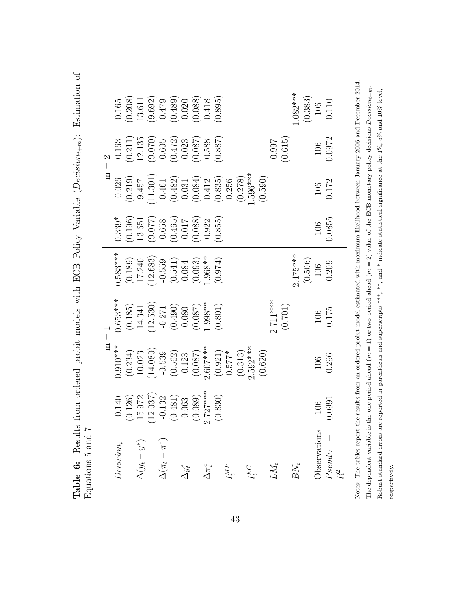<span id="page-42-0"></span>

| ٥<br>í                   | ١ |  | All The Hotel Hard Chappen of |  | Fom ordered probit models with ECR Policy Variable (De<br>$\frac{1}{2}$ | $\zeta$<br>$\mathbf{r}$<br>i<br>ľ, |
|--------------------------|---|--|-------------------------------|--|-------------------------------------------------------------------------|------------------------------------|
| $\overline{a}$<br>١<br>l | ŗ |  |                               |  |                                                                         |                                    |

| $m = 2$ | (0.208)<br>0.165<br>0.163                                                                            | $\begin{array}{l} 13.611\\ (9.692)\\ (0.479)\\ (0.489)\\ (0.020)\\ (0.088)\\ (0.088)\\ (0.0895) \end{array}$<br>$\begin{array}{c} (0.211) \\ 12.135 \\ (9.070) \\ 0.605 \\ (0.472) \\ 0.023 \end{array}$ |                                                                                                                      |                       |                                                                                                            |                | $(0.087)$<br>0.588                              |                 | (0.887)             |  |         |            |                          |            | (0.615)<br>0.997 | $1.082***$ |                        | $(0.383)$ $106$<br>0.110<br>106<br>0.0972 |
|---------|------------------------------------------------------------------------------------------------------|----------------------------------------------------------------------------------------------------------------------------------------------------------------------------------------------------------|----------------------------------------------------------------------------------------------------------------------|-----------------------|------------------------------------------------------------------------------------------------------------|----------------|-------------------------------------------------|-----------------|---------------------|--|---------|------------|--------------------------|------------|------------------|------------|------------------------|-------------------------------------------|
|         | $-0.026$                                                                                             | $\begin{array}{c} (0.219) \\ 9.457 \end{array}$                                                                                                                                                          | $\begin{array}{c} (11.301) \\ 0.461 \\ 0.482) \\ 0.031 \\ 0.084) \\ (0.084) \\ 0.412 \\ 0.835) \\ 0.256 \end{array}$ |                       |                                                                                                            |                |                                                 |                 |                     |  | (0.278) | .596***    |                          | (0.590)    |                  |            |                        | 106<br>0.172                              |
|         | $0.339*$<br>(0.196)                                                                                  | 13.651                                                                                                                                                                                                   | $\begin{array}{c} (9.077) \\ 0.658 \\ (0.465) \\ (0.465) \end{array}$                                                |                       |                                                                                                            |                | $\begin{array}{c} (0.088) \\ 0.922 \end{array}$ |                 | (0.855)             |  |         |            |                          |            |                  |            |                        | 0.0855<br>106                             |
|         | $0.583***$                                                                                           | $\begin{array}{c} (0.189) \\ 17.240 \\ (12.683) \\ -0.559 \\ (0.541) \\ 0.084 \end{array}$                                                                                                               |                                                                                                                      |                       |                                                                                                            |                | $(0.093)$<br>1.968**                            |                 | (0.974)             |  |         |            |                          |            |                  |            | $2.475***$             | $(0.506)$ $106$<br>0.209                  |
|         | $0.653***$                                                                                           | $\begin{array}{c} (0.185) \\ 14.341 \end{array}$                                                                                                                                                         | $\begin{array}{c} (12.530) \\ -0.271 \\ (0.490) \\ 0.080 \end{array}$                                                |                       |                                                                                                            |                | $(0.087)$<br>1.998**                            |                 | (0.801)             |  |         |            |                          | $2.711***$ |                  | (0.701)    |                        | $\frac{106}{0.175}$                       |
| $m = 1$ | $0.910***$<br>(0.234)                                                                                | 10.023                                                                                                                                                                                                   |                                                                                                                      |                       | $\begin{array}{c} (14.080) \\ -0.539 \\ (0.562) \\ 0.123 \\ (0.087) \\ (0.087) \\ 2.607^{***} \end{array}$ |                |                                                 |                 | $(0.921)$<br>0.577* |  | (0.313) | $2.592***$ |                          | (0.620)    |                  |            |                        | 106<br>0.296                              |
|         | $\begin{array}{c} -0.140 \\ (0.126) \\ 15.972 \\ (12.037) \\ -0.132 \\ (0.481) \\ 0.063 \end{array}$ |                                                                                                                                                                                                          |                                                                                                                      |                       |                                                                                                            |                | $(0.089)$<br>2.727***                           |                 | (0.830)             |  |         |            |                          |            |                  |            |                        | $\frac{106}{0.0991}$                      |
|         | $Decision_t$                                                                                         | $\Delta(y_t-y^*)$                                                                                                                                                                                        |                                                                                                                      | $\Delta(\pi_t-\pi^*)$ |                                                                                                            | $\Delta y_t^e$ |                                                 | $\Delta\pi_t^e$ |                     |  |         |            | $I_t^{MP}$<br>$I_t^{EC}$ |            |                  |            | $BN_t$<br>${\it LM}_t$ | Observations                              |

Notes: The tables report the results from an ordered probit model estimated with maximum likelihood between January 2006 and December 2014. The dependent variable is the one period ahead  $(m = 1)$  or two period ahead  $(m = 2)$  value of the ECB monetary policy decisions  $Decision_{t+m}$ . The dependent variable is the one period ahead  $(m=1)$  or two period ahead  $(m=2)$  value of the ECB monetary policy decisions  $Decison_t_{+m}$ . Robust standard errors are reported in parenthesis and superscripts \*\*\*, and \* indicate statistical significance at the 1%, 5% and 10% level, Robust standard errors are reported in parenthesis and superscripts \*\*\*, \*\*, and \* indicate statistical significance at the  $1\%, 5\%$  and  $10\%$  level, Ĺ  ${\tt respectively}.$ respectively. Notes: Th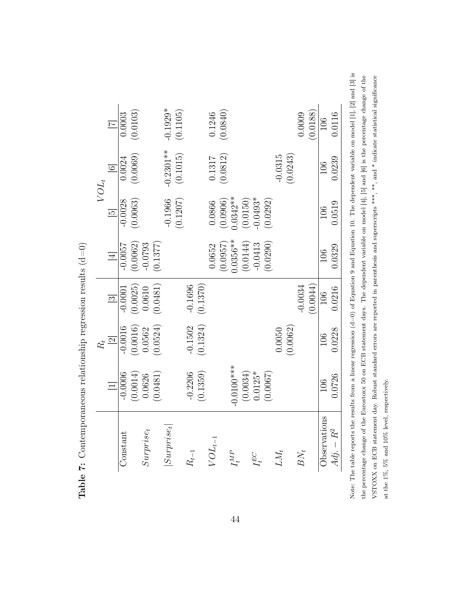<span id="page-43-0"></span>

| $VOL_{\rm t}$ | $\vert \mathbf{z} \vert$<br>$\overline{6}$ | 0.0003<br>0.0024 | (0.0103)<br>(0.0069)           |              |          | $-0.1929*$<br>$-0.2301**$ | (0.1105)<br>(0.1015) |           |                       |                   | $\frac{0.1246}{(0.0840)}$<br>$\begin{array}{c} 0.1317 \\ (0.0812) \end{array}$ |              |                         |            |          | $-0.0315$ | (0.0243) | 0.0009    | (0.0188) | 106<br>106   | 0.0116<br>0.0239 |
|---------------|--------------------------------------------|------------------|--------------------------------|--------------|----------|---------------------------|----------------------|-----------|-----------------------|-------------------|--------------------------------------------------------------------------------|--------------|-------------------------|------------|----------|-----------|----------|-----------|----------|--------------|------------------|
|               | $\overline{5}$                             | $-0.0028$        | (0.0063)                       |              |          | $-0.1966$                 | (0.1207)             |           |                       | 0.0866            | (0.0906)                                                                       | $0.0342**$   | $(0.0150)$<br>-0.0493*  |            | (0.0292) |           |          |           |          | 106          | 0.0519           |
|               | $\overline{4}$                             | $-0.0057$        | $(0.0062)$<br>-0.0793          |              | (0.1377) |                           |                      |           |                       | 0.0652            | (0.0957)                                                                       | $0.0356***$  | (0.0144)                | $-0.0413$  | (0.0290) |           |          |           |          | 106          | 0.0329           |
|               | $\boxed{3}$                                | $-0.0001$        | $\left(0.0025\right)$ $0.0610$ |              | (0.0481) |                           |                      |           | $-0.1696$<br>(0.1370) |                   |                                                                                |              |                         |            |          |           |          | $-0.0034$ | (0.0044) | 106          | 0.0216           |
| $R_{t}$       | $\overline{\mathbb{Z}}$                    | $-0.0016$        | $\left(0.0016\right)$ $0.0562$ |              | (0.0524) |                           |                      | $-0.1502$ | (0.1324)              |                   |                                                                                |              |                         |            |          | 0.0050    | (0.0062) |           |          | 106          | 0.0228           |
|               |                                            | $-0.0006$        | (0.0014)                       | 0.0626       | (0.0481) |                           |                      | $-0.2206$ | (0.1359)              |                   |                                                                                | $-0.0100***$ | $(0.0034)$<br>$0.0125*$ |            | (0.0067) |           |          |           |          | 106          | 0.0726           |
|               |                                            | Constant         |                                | $Surprise_t$ |          | $Surprise_t$              |                      | $H_{t-1}$ |                       | $\sqrt{OL_{t-1}}$ |                                                                                | $I_t^{MP}$   |                         | $L_t^{EC}$ |          | LM,       |          | $BN_t$    |          | Observations | $Adj. - R^2$     |

Table 7: Contemporaneous relationship regression results  $(d=0)$ **Table 7:** Contemporaneous relationship regression results  $(d=0)$ 

Note: The table reports the results from a linear regression  $(d=0)$  of Equation 9 and Equation 10. The dependent variable on model [1], [2] and [3] is Note: The table reports the results from a linear regression (d=0) of Equation [9](#page-21-1) and Equation [10.](#page-22-0) The dependent variable on model [1], [2] and [3] is the percentage change of the Eurostoxx 50 on ECB statement days. The dependent variable on model  $[4]$ ,  $[5]$  and  $[6]$  is the percentage change of the VSTOXX on ECB statement day. Robust standard errors are reported in parenthesis and superscripts \*\*\*, \*\*, and \* indicate statistical significance the percentage change of the Eurostoxx 50 on ECB statement days. The dependent variable on model [4], [5] and [6] is the percentage change of the VSTOXX on ECB statement day. Robust standard errors are reported in parenthesis and superscripts \*\*\*, \*\*, and \* indicate statistical significance at the  $1\%, 5\%$  and  $10\%$  level, respectively. at the 1%, 5% and 10% level, respectively.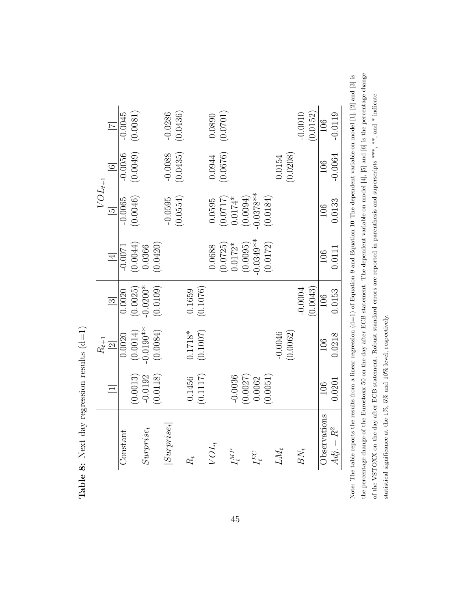<span id="page-44-0"></span>

| $VOL_{t+1}$ | $\overline{6}$ | $-0.0045$<br>$-0.0056$ | (0.0081)<br>(0.0049) |              |          | $-0.0286$<br>$-0.0088$ | (0.0436)<br>(0.0435) |           |          |         | (0.0890)<br>(0.0676) |            |          |                           |          | 0.0154    | (0.0208) | $-0.0010$ | (0.0152) | 106<br>106   |        |
|-------------|----------------|------------------------|----------------------|--------------|----------|------------------------|----------------------|-----------|----------|---------|----------------------|------------|----------|---------------------------|----------|-----------|----------|-----------|----------|--------------|--------|
|             | $\frac{5}{2}$  | $-0.0065$              | (0.0046)             |              |          | $-0.0595$              | (0.0554)             |           |          | 0.0595  | (0.0717)             | $0.0174*$  |          | $(0.0094)$<br>$0.0378**$  | (0.0184) |           |          |           |          | 106          | 0.0133 |
|             | $\overline{4}$ | $-0.0071$              | (0.0044)             | 0.0366       | (0.0420) |                        |                      |           |          | 0.0688  | (0.0725)             | $0.0172*$  |          | $(0.0095)$<br>$-0.0349**$ | (0.0172) |           |          |           |          | 106          | 0.0111 |
|             | $\boxed{3}$    | 0.0020                 | (0.0025)             | $-0.0200*$   | (0.0109) |                        |                      | 0.1659    | (0.1076) |         |                      |            |          |                           |          |           |          | $-0.0004$ | (0.0043) | 106          | 0.0153 |
|             | $R_{t+1}$ [2]  | 0.0020                 | (0.0014)             | $-0.0190**$  | (0.0084) |                        |                      | $0.1718*$ | (0.1007) |         |                      |            |          |                           |          | $-0.0046$ | (0.0062) |           |          | 106          |        |
|             | $\equiv$       |                        | 0.0013)              | $-0.0192$    | (0.0118) |                        |                      | 0.1456    | (0.1117) |         |                      | $-0.0036$  | (0.0027) | 0.0062                    | (0.0051) |           |          |           |          | 106          | 0.0201 |
|             |                | Constant               |                      | $Surprise_t$ |          | $Surprise_t$           |                      | R,        |          | $VOL_t$ |                      | $I_t^{MP}$ |          | H<br>H                    |          | $M_t$     |          | $BN_t$    |          | Observations | $R^2$  |

the percentage change of the Eurostoxx 50 on the day after ECB statement. The dependent variable on model  $[4]$ ,  $[5]$  and  $[6]$  is the percentage change Note: The table reports the results from a linear regression  $(d=1)$  of Equation 9 and Equation 10 The dependent variable on model [1], [2] and [3] is the percentage change of the Eurostoxx 50 on the day after ECB statement. The dependent variable on model [4], [5] and [6] is the percentage change Note: The table reports the results from a linear regression (d=1) of Equation [9](#page-21-1) and Equation [10](#page-22-0) The dependent variable on model [1], [2] and [3] is of the VSTOXX on the day after ECB statement. Robust standard errors are reported in parenthesis and superscripts \*\*\*, \*\*, and \* indicate of the VSTOXX on the day after ECB statement. Robust standard errors are reported in parenthesis and superscripts \*\*\*, \*\*, and \* indicate statistical significance at the 1%, 5% and 10% level, respectively. statistical significance at the 1%, 5% and 10% level, respectively.

Table 8: Next day regression results  $(d=1)$ **Table 8:** Next day regression results  $(d=1)$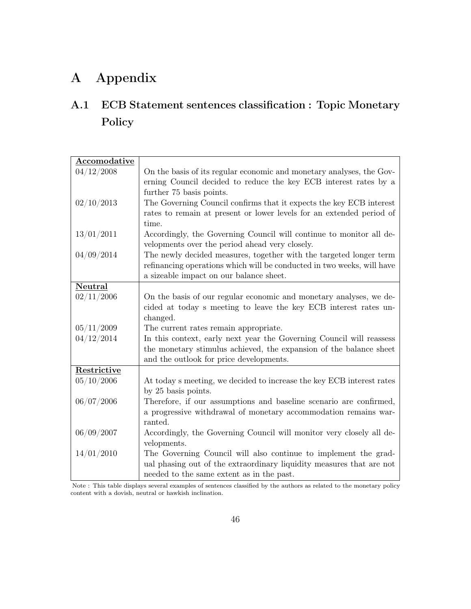# A Appendix

# <span id="page-45-0"></span>A.1 ECB Statement sentences classification : Topic Monetary Policy

| Accomodative |                                                                        |
|--------------|------------------------------------------------------------------------|
| 04/12/2008   | On the basis of its regular economic and monetary analyses, the Gov-   |
|              | erning Council decided to reduce the key ECB interest rates by a       |
|              | further 75 basis points.                                               |
| 02/10/2013   | The Governing Council confirms that it expects the key ECB interest    |
|              | rates to remain at present or lower levels for an extended period of   |
|              | time.                                                                  |
| 13/01/2011   | Accordingly, the Governing Council will continue to monitor all de-    |
|              | velopments over the period ahead very closely.                         |
| 04/09/2014   | The newly decided measures, together with the targeted longer term     |
|              | refinancing operations which will be conducted in two weeks, will have |
|              | a sizeable impact on our balance sheet.                                |
| Neutral      |                                                                        |
| 02/11/2006   | On the basis of our regular economic and monetary analyses, we de-     |
|              | cided at today s meeting to leave the key ECB interest rates un-       |
|              | changed.                                                               |
| 05/11/2009   | The current rates remain appropriate.                                  |
| 04/12/2014   | In this context, early next year the Governing Council will reassess   |
|              | the monetary stimulus achieved, the expansion of the balance sheet     |
|              | and the outlook for price developments.                                |
| Restrictive  |                                                                        |
| 05/10/2006   | At today s meeting, we decided to increase the key ECB interest rates  |
|              | by 25 basis points.                                                    |
| 06/07/2006   | Therefore, if our assumptions and baseline scenario are confirmed,     |
|              | a progressive withdrawal of monetary accommodation remains war-        |
|              | ranted.                                                                |
| 06/09/2007   | Accordingly, the Governing Council will monitor very closely all de-   |
|              | velopments.                                                            |
| 14/01/2010   | The Governing Council will also continue to implement the grad-        |
|              | ual phasing out of the extraordinary liquidity measures that are not   |
|              | needed to the same extent as in the past.                              |

Note : This table displays several examples of sentences classified by the authors as related to the monetary policy content with a dovish, neutral or hawkish inclination.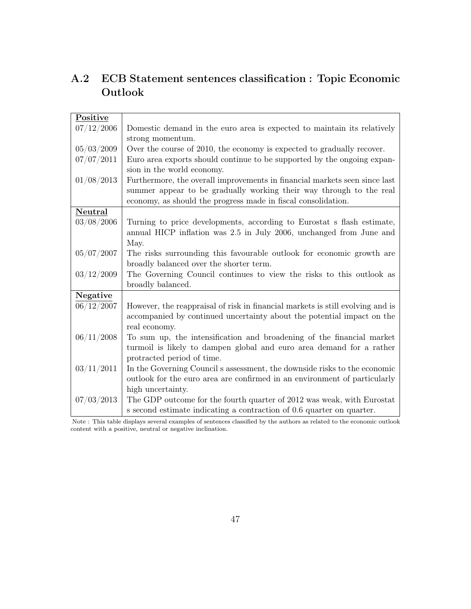| Positive   |                                                                                |
|------------|--------------------------------------------------------------------------------|
| 07/12/2006 | Domestic demand in the euro area is expected to maintain its relatively        |
|            | strong momentum.                                                               |
| 05/03/2009 | Over the course of 2010, the economy is expected to gradually recover.         |
| 07/07/2011 | Euro area exports should continue to be supported by the ongoing expan-        |
|            | sion in the world economy.                                                     |
| 01/08/2013 | Furthermore, the overall improvements in financial markets seen since last     |
|            | summer appear to be gradually working their way through to the real            |
|            | economy, as should the progress made in fiscal consolidation.                  |
| Neutral    |                                                                                |
| 03/08/2006 | Turning to price developments, according to Eurostat s flash estimate,         |
|            | annual HICP inflation was 2.5 in July 2006, unchanged from June and            |
|            | May.                                                                           |
| 05/07/2007 | The risks surrounding this favourable outlook for economic growth are          |
|            | broadly balanced over the shorter term.                                        |
| 03/12/2009 | The Governing Council continues to view the risks to this outlook as           |
|            | broadly balanced.                                                              |
| Negative   |                                                                                |
| 06/12/2007 | However, the reappraisal of risk in financial markets is still evolving and is |
|            | accompanied by continued uncertainty about the potential impact on the         |
|            | real economy.                                                                  |
| 06/11/2008 | To sum up, the intensification and broadening of the financial market          |
|            | turmoil is likely to dampen global and euro area demand for a rather           |
|            | protracted period of time.                                                     |
| 03/11/2011 | In the Governing Council s assessment, the downside risks to the economic      |
|            | outlook for the euro area are confirmed in an environment of particularly      |
|            | high uncertainty.                                                              |
| 07/03/2013 | The GDP outcome for the fourth quarter of 2012 was weak, with Eurostat         |
|            | s second estimate indicating a contraction of 0.6 quarter on quarter.          |
|            |                                                                                |

# <span id="page-46-0"></span>A.2 ECB Statement sentences classification : Topic Economic Outlook

Note : This table displays several examples of sentences classified by the authors as related to the economic outlook content with a positive, neutral or negative inclination.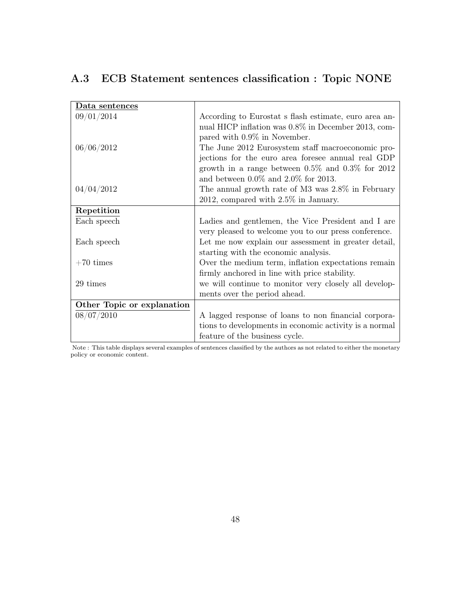<span id="page-47-0"></span>

|  |  |  |  |  |  | A.3 ECB Statement sentences classification : Topic NONE |
|--|--|--|--|--|--|---------------------------------------------------------|
|--|--|--|--|--|--|---------------------------------------------------------|

| Data sentences             |                                                        |
|----------------------------|--------------------------------------------------------|
| 09/01/2014                 | According to Eurostat s flash estimate, euro area an-  |
|                            | nual HICP inflation was 0.8% in December 2013, com-    |
|                            | pared with 0.9% in November.                           |
| 06/06/2012                 | The June 2012 Eurosystem staff macroeconomic pro-      |
|                            | jections for the euro area foresee annual real GDP     |
|                            | growth in a range between $0.5\%$ and $0.3\%$ for 2012 |
|                            | and between $0.0\%$ and $2.0\%$ for 2013.              |
| 04/04/2012                 | The annual growth rate of M3 was 2.8% in February      |
|                            | $2012$ , compared with $2.5\%$ in January.             |
| Repetition                 |                                                        |
| Each speech                | Ladies and gentlemen, the Vice President and I are     |
|                            | very pleased to welcome you to our press conference.   |
| Each speech                | Let me now explain our assessment in greater detail,   |
|                            | starting with the economic analysis.                   |
| $+70$ times                | Over the medium term, inflation expectations remain    |
|                            | firmly anchored in line with price stability.          |
| 29 times                   | we will continue to monitor very closely all develop-  |
|                            | ments over the period ahead.                           |
| Other Topic or explanation |                                                        |
| 08/07/2010                 | A lagged response of loans to non financial corpora-   |
|                            | tions to developments in economic activity is a normal |
|                            | feature of the business cycle.                         |

Note : This table displays several examples of sentences classified by the authors as not related to either the monetary policy or economic content.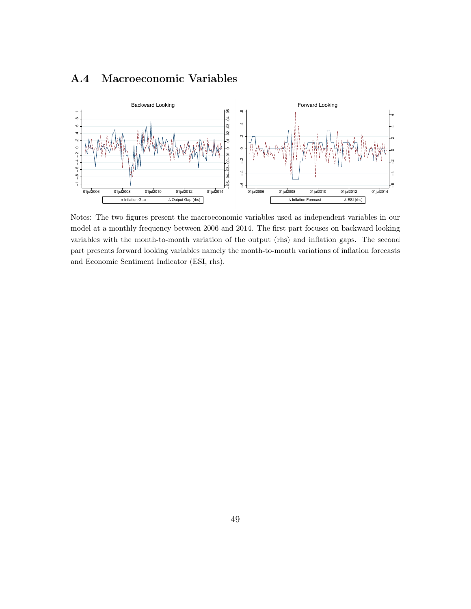# <span id="page-48-0"></span>A.4 Macroeconomic Variables



Notes: The two figures present the macroeconomic variables used as independent variables in our model at a monthly frequency between 2006 and 2014. The first part focuses on backward looking variables with the month-to-month variation of the output (rhs) and inflation gaps. The second part presents forward looking variables namely the month-to-month variations of inflation forecasts and Economic Sentiment Indicator (ESI, rhs).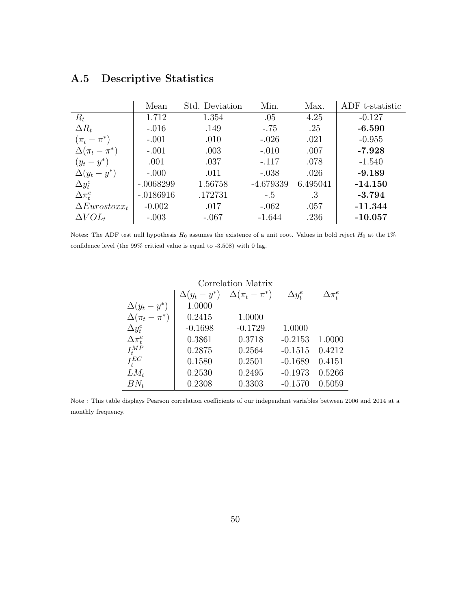|                       | Mean        | Std. Deviation | Min.        | Max.     | ADF t-statistic |
|-----------------------|-------------|----------------|-------------|----------|-----------------|
| $R_t$                 | 1.712       | 1.354          | .05         | 4.25     | $-0.127$        |
| $\Delta R_t$          | $-.016$     | .149           | $-.75$      | .25      | $-6.590$        |
| $(\pi_t - \pi^*)$     | $-.001$     | .010           | $-.026$     | .021     | $-0.955$        |
| $\Delta(\pi_t-\pi^*)$ | $-.001$     | .003           | $-.010$     | .007     | $-7.928$        |
| $(y_t - y^*)$         | .001        | .037           | $-.117$     | .078     | $-1.540$        |
| $\Delta(y_t - y^*)$   | $-.000$     | .011           | $-.038$     | .026     | $-9.189$        |
| $\Delta y_t^e$        | $-.0068299$ | 1.56758        | $-4.679339$ | 6.495041 | $-14.150$       |
| $\Delta \pi_f^e$      | $-.0186916$ | .172731        | $-.5$       | .3       | $-3.794$        |
| $\Delta Eurostoxx_t$  | $-0.002$    | .017           | $-.062$     | .057     | $-11.344$       |
| $\Delta VOL_t$        | $-.003$     | $-.067$        | $-1.644$    | .236     | $-10.057$       |

# <span id="page-49-0"></span>A.5 Descriptive Statistics

Notes: The ADF test null hypothesis  $H_0$  assumes the existence of a unit root. Values in bold reject  $H_0$  at the 1% confidence level (the 99% critical value is equal to -3.508) with 0 lag.

| Correlation Matrix    |                     |                       |                |                  |  |
|-----------------------|---------------------|-----------------------|----------------|------------------|--|
|                       | $\Delta(y_t - y^*)$ | $\Delta(\pi_t-\pi^*)$ | $\Delta y_t^e$ | $\Delta \pi_t^e$ |  |
| $\Delta(y_t - y^*)$   | 1.0000              |                       |                |                  |  |
| $\Delta(\pi_t-\pi^*)$ | 0.2415              | 1.0000                |                |                  |  |
| $\Delta y_t^e$        | $-0.1698$           | $-0.1729$             | 1.0000         |                  |  |
| $\Delta \pi^e_t$      | 0.3861              | 0.3718                | $-0.2153$      | 1.0000           |  |
| $I_t^{MP}$            | 0.2875              | 0.2564                | $-0.1515$      | 0.4212           |  |
| $I_t^{EC}$            | 0.1580              | 0.2501                | $-0.1689$      | 0.4151           |  |
| $LM_t$                | 0.2530              | 0.2495                | $-0.1973$      | 0.5266           |  |
| $BN_t$                | 0.2308              | 0.3303                | $-0.1570$      | 0.5059           |  |

Note : This table displays Pearson correlation coefficients of our independant variables between 2006 and 2014 at a monthly frequency.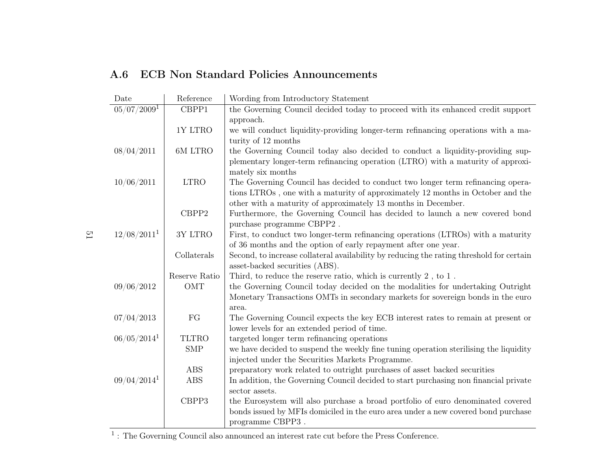| Date                    | Reference     | Wording from Introductory Statement                                                                                        |
|-------------------------|---------------|----------------------------------------------------------------------------------------------------------------------------|
| $\sqrt{05/07/2009^1}$   | CBPP1         | the Governing Council decided today to proceed with its enhanced credit support                                            |
|                         | 1Y LTRO       | approach.<br>we will conduct liquidity-providing longer-term refinancing operations with a ma-                             |
|                         |               | turity of 12 months                                                                                                        |
| 08/04/2011              | 6M LTRO       | the Governing Council today also decided to conduct a liquidity-providing sup-                                             |
|                         |               | plementary longer-term refinancing operation (LTRO) with a maturity of approxi-                                            |
|                         |               | mately six months                                                                                                          |
| 10/06/2011              | <b>LTRO</b>   | The Governing Council has decided to conduct two longer term refinancing opera-                                            |
|                         |               | tions LTROs, one with a maturity of approximately 12 months in October and the                                             |
|                         |               | other with a maturity of approximately 13 months in December.                                                              |
|                         | CBPP2         | Furthermore, the Governing Council has decided to launch a new covered bond                                                |
|                         |               | purchase programme ${\rm CBPP2}$ .                                                                                         |
| 12/08/2011 <sup>1</sup> | 3Y LTRO       | First, to conduct two longer-term refinancing operations (LTROs) with a maturity                                           |
|                         |               | of 36 months and the option of early repayment after one year.                                                             |
|                         | Collaterals   | Second, to increase collateral availability by reducing the rating threshold for certain<br>asset-backed securities (ABS). |
|                         | Reserve Ratio | Third, to reduce the reserve ratio, which is currently $2$ , to $1$ .                                                      |
| 09/06/2012              | <b>OMT</b>    | the Governing Council today decided on the modalities for undertaking Outright                                             |
|                         |               | Monetary Transactions OMTs in secondary markets for sovereign bonds in the euro                                            |
|                         |               | area.                                                                                                                      |
| 07/04/2013              | ${\rm FG}$    | The Governing Council expects the key ECB interest rates to remain at present or                                           |
|                         |               | lower levels for an extended period of time.                                                                               |
| $06/05/2014^1$          | <b>TLTRO</b>  | targeted longer term refinancing operations                                                                                |
|                         | <b>SMP</b>    | we have decided to suspend the weekly fine tuning operation sterilising the liquidity                                      |
|                         |               | injected under the Securities Markets Programme.                                                                           |
|                         | <b>ABS</b>    | preparatory work related to outright purchases of asset backed securities                                                  |
| $09/04/2014^1$          | <b>ABS</b>    | In addition, the Governing Council decided to start purchasing non financial private                                       |
|                         |               | sector assets.                                                                                                             |
|                         | CBPP3         | the Eurosystem will also purchase a broad portfolio of euro denominated covered                                            |
|                         |               | bonds issued by MFIs domiciled in the euro area under a new covered bond purchase                                          |
|                         |               | programme CBPP3.                                                                                                           |

### <span id="page-50-0"></span>A.6 ECB Non Standard Policies Announcements

 $\Xi$ 

<sup>1</sup> : The Governing Council also announced an interest rate cut before the Press Conference.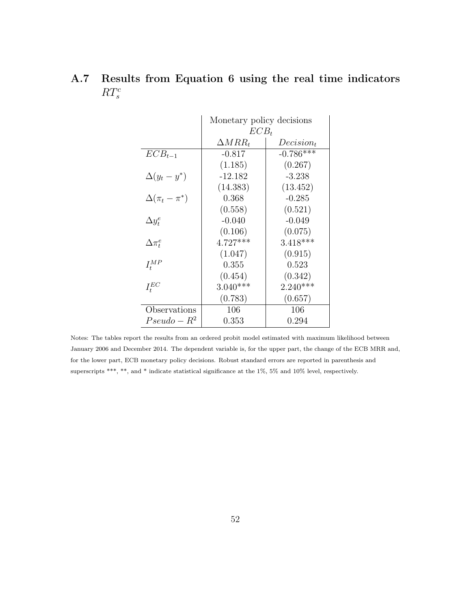# <span id="page-51-0"></span>A.7 Results from Equation [6](#page-16-3) using the real time indicators  $RT_s^c$

|                       | Monetary policy decisions |              |  |
|-----------------------|---------------------------|--------------|--|
|                       | $ECB_t$                   |              |  |
|                       | $\Delta MRR_t$            | $Decision_t$ |  |
| $ECB_{t-1}$           | $-0.817$                  | $-0.786***$  |  |
|                       | (1.185)                   | (0.267)      |  |
| $\Delta(y_t - y^*)$   | -12.182                   | $-3.238$     |  |
|                       | (14.383)                  | (13.452)     |  |
| $\Delta(\pi_t-\pi^*)$ | 0.368                     | $-0.285$     |  |
|                       | (0.558)                   | (0.521)      |  |
| $\Delta y_t^e$        | $-0.040$                  | $-0.049$     |  |
|                       | (0.106)                   | (0.075)      |  |
| $\Delta\pi_t^e$       | $4.727***$                | $3.418***$   |  |
|                       | (1.047)                   | (0.915)      |  |
| $I_{t}^{MP}$          | 0.355                     | 0.523        |  |
|                       | (0.454)                   | (0.342)      |  |
| $I_t^{EC}$            | $3.040***$                | $2.240***$   |  |
|                       | (0.783)                   | (0.657)      |  |
| Observations          | 106                       | 106          |  |
| $Pseudo - R^2$        | 0.353                     | 0.294        |  |

Notes: The tables report the results from an ordered probit model estimated with maximum likelihood between January 2006 and December 2014. The dependent variable is, for the upper part, the change of the ECB MRR and, for the lower part, ECB monetary policy decisions. Robust standard errors are reported in parenthesis and superscripts \*\*\*, \*\*, and \* indicate statistical significance at the 1%, 5% and 10% level, respectively.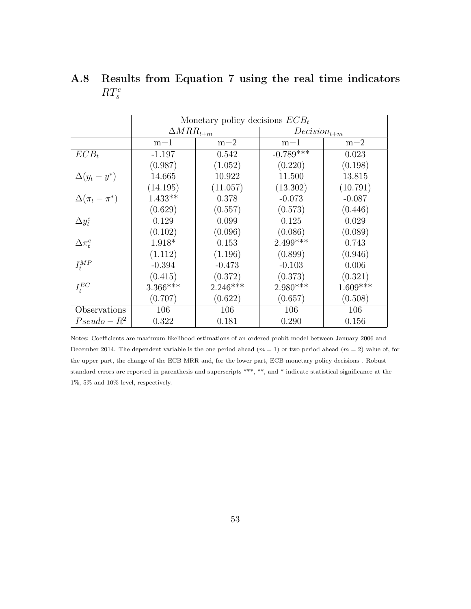|                       | Monetary policy decisions $ECB_t$ |            |                  |            |
|-----------------------|-----------------------------------|------------|------------------|------------|
|                       | $\Delta MRR_{t+m}$                |            | $Decision_{t+m}$ |            |
|                       | $m=1$                             | $m=2$      | $m=1$            | $m=2$      |
| $ECB_t$               | $-1.197$                          | 0.542      | $-0.789***$      | 0.023      |
|                       | (0.987)                           | (1.052)    | (0.220)          | (0.198)    |
| $\Delta(y_t - y^*)$   | 14.665                            | 10.922     | 11.500           | 13.815     |
|                       | (14.195)                          | (11.057)   | (13.302)         | (10.791)   |
| $\Delta(\pi_t-\pi^*)$ | $1.433**$                         | 0.378      | $-0.073$         | $-0.087$   |
|                       | (0.629)                           | (0.557)    | (0.573)          | (0.446)    |
| $\Delta y_t^e$        | 0.129                             | 0.099      | 0.125            | 0.029      |
|                       | (0.102)                           | (0.096)    | (0.086)          | (0.089)    |
| $\Delta\pi_t^e$       | 1.918*                            | 0.153      | $2.499***$       | 0.743      |
|                       | (1.112)                           | (1.196)    | (0.899)          | (0.946)    |
| $I_t^{MP}$            | $-0.394$                          | $-0.473$   | $-0.103$         | 0.006      |
|                       | (0.415)                           | (0.372)    | (0.373)          | (0.321)    |
| $I_t^{EC}$            | $3.366***$                        | $2.246***$ | $2.980***$       | $1.609***$ |
|                       | (0.707)                           | (0.622)    | (0.657)          | (0.508)    |
| Observations          | 106                               | 106        | 106              | 106        |
| $Pseudo - R^2$        | 0.322                             | 0.181      | 0.290            | 0.156      |

<span id="page-52-0"></span>A.8 Results from Equation [7](#page-16-4) using the real time indicators  $RT_s^c$ 

Notes: Coefficients are maximum likelihood estimations of an ordered probit model between January 2006 and December 2014. The dependent variable is the one period ahead  $(m = 1)$  or two period ahead  $(m = 2)$  value of, for the upper part, the change of the ECB MRR and, for the lower part, ECB monetary policy decisions . Robust standard errors are reported in parenthesis and superscripts \*\*\*, \*\*, and \* indicate statistical significance at the 1%, 5% and 10% level, respectively.